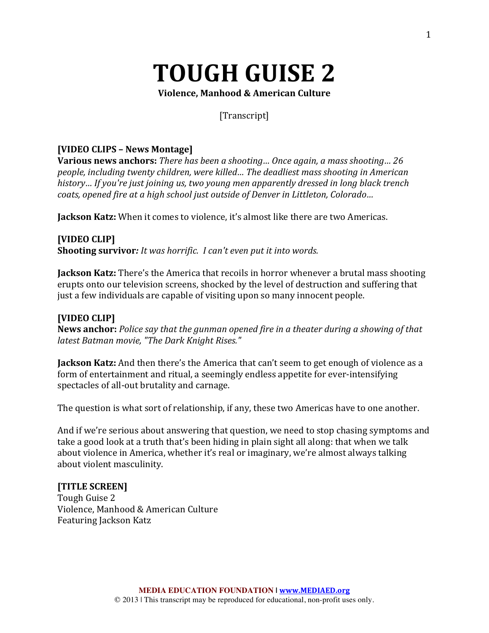# **TOUGH GUISE 2**

**Violence, Manhood & American Culture**

### [Transcript]

### **[VIDEO CLIPS – News Montage]**

**Various news anchors:** *There has been a shooting... Once again, a mass shooting... 26 people, including twenty children, were killed... The deadliest mass shooting in American history…* If you're just joining us, two young men apparently dressed in long black trench *coats, opened fire at a high school just outside of Denver in Littleton, Colorado...* 

**Jackson Katz:** When it comes to violence, it's almost like there are two Americas.

### **[VIDEO CLIP]**

**Shooting survivor:** *It was horrific. I can't even put it into words.* 

**Jackson Katz:** There's the America that recoils in horror whenever a brutal mass shooting erupts onto our television screens, shocked by the level of destruction and suffering that just a few individuals are capable of visiting upon so many innocent people.

### **[VIDEO CLIP]**

News anchor: Police say that the gunman opened fire in a theater during a showing of that *latest Batman movie, "The Dark Knight Rises."*

**Jackson Katz:** And then there's the America that can't seem to get enough of violence as a form of entertainment and ritual, a seemingly endless appetite for ever-intensifying spectacles of all-out brutality and carnage.

The question is what sort of relationship, if any, these two Americas have to one another.

And if we're serious about answering that question, we need to stop chasing symptoms and take a good look at a truth that's been hiding in plain sight all along: that when we talk about violence in America, whether it's real or imaginary, we're almost always talking about violent masculinity.

### **[TITLE SCREEN]**

Tough Guise 2 Violence, Manhood & American Culture Featuring Jackson Katz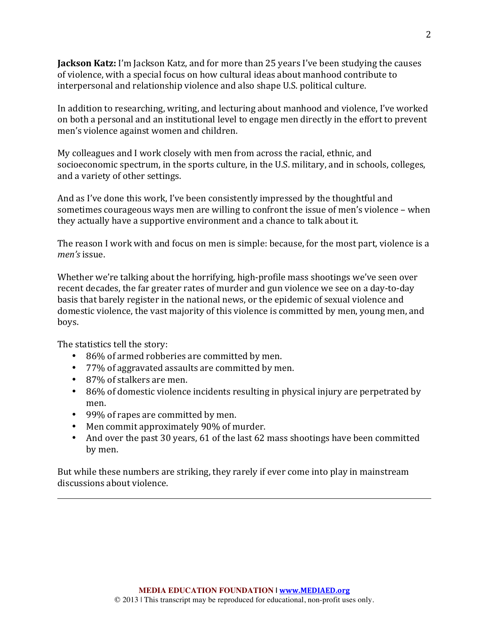**Jackson Katz:** I'm Jackson Katz, and for more than 25 years I've been studying the causes of violence, with a special focus on how cultural ideas about manhood contribute to interpersonal and relationship violence and also shape U.S. political culture.

In addition to researching, writing, and lecturing about manhood and violence, I've worked on both a personal and an institutional level to engage men directly in the effort to prevent men's violence against women and children.

My colleagues and I work closely with men from across the racial, ethnic, and socioeconomic spectrum, in the sports culture, in the U.S. military, and in schools, colleges, and a variety of other settings.

And as I've done this work, I've been consistently impressed by the thoughtful and sometimes courageous ways men are willing to confront the issue of men's violence - when they actually have a supportive environment and a chance to talk about it.

The reason I work with and focus on men is simple: because, for the most part, violence is a *men's* issue.

Whether we're talking about the horrifying, high-profile mass shootings we've seen over recent decades, the far greater rates of murder and gun violence we see on a day-to-day basis that barely register in the national news, or the epidemic of sexual violence and domestic violence, the vast majority of this violence is committed by men, young men, and boys.

The statistics tell the story:

- 86% of armed robberies are committed by men.
- 77% of aggravated assaults are committed by men.
- 87% of stalkers are men.
- 86% of domestic violence incidents resulting in physical injury are perpetrated by men.
- 99% of rapes are committed by men.
- Men commit approximately 90% of murder.
- And over the past 30 years, 61 of the last 62 mass shootings have been committed by men.

But while these numbers are striking, they rarely if ever come into play in mainstream discussions about violence.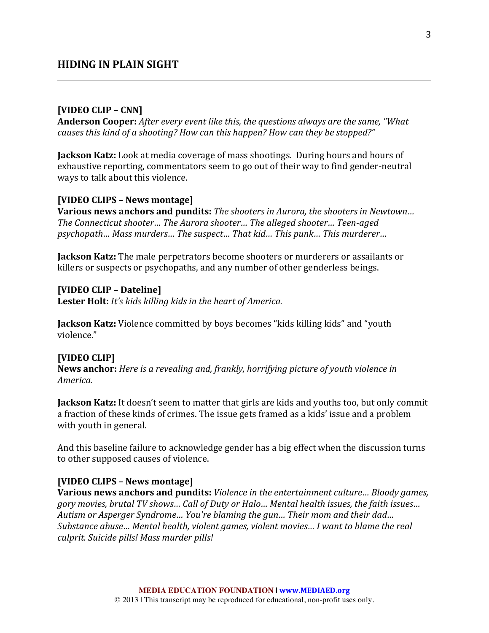#### **[VIDEO CLIP – CNN]**

**Anderson Cooper:** *After every event like this, the questions always are the same, "What causes this kind of a shooting?* How can this happen? How can they be stopped?"

**Jackson Katz:** Look at media coverage of mass shootings. During hours and hours of exhaustive reporting, commentators seem to go out of their way to find gender-neutral ways to talk about this violence.

#### **[VIDEO CLIPS – News montage]**

**Various news anchors and pundits:** *The shooters in Aurora, the shooters in Newtown... The Connecticut shooter… The Aurora shooter… The alleged shooter… Teen-aged psychopath... Mass murders... The suspect... That kid... This punk... This murderer...* 

**Jackson Katz:** The male perpetrators become shooters or murderers or assailants or killers or suspects or psychopaths, and any number of other genderless beings.

**[VIDEO CLIP – Dateline] Lester Holt:** *It's kids killing kids in the heart of America.* 

**Jackson Katz:** Violence committed by boys becomes "kids killing kids" and "youth violence."

#### **[VIDEO CLIP]**

**News anchor:** *Here is a revealing and, frankly, horrifying picture of youth violence in America.*

**Jackson Katz:** It doesn't seem to matter that girls are kids and youths too, but only commit a fraction of these kinds of crimes. The issue gets framed as a kids' issue and a problem with youth in general.

And this baseline failure to acknowledge gender has a big effect when the discussion turns to other supposed causes of violence.

#### **[VIDEO CLIPS – News montage]**

**Various news anchors and pundits:** *Violence in the entertainment culture... Bloody games, gory movies, brutal TV shows… Call of Duty or Halo… Mental health issues, the faith issues… Autism or Asperger Syndrome... You're blaming the gun... Their mom and their dad... Substance abuse... Mental health, violent games, violent movies... I want to blame the real culprit. Suicide pills! Mass murder pills!*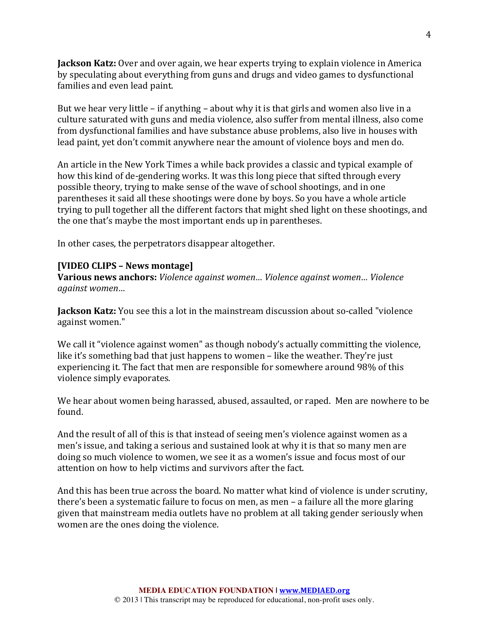**Jackson Katz:** Over and over again, we hear experts trying to explain violence in America by speculating about everything from guns and drugs and video games to dysfunctional families and even lead paint.

But we hear very little  $-$  if anything  $-$  about why it is that girls and women also live in a culture saturated with guns and media violence, also suffer from mental illness, also come from dysfunctional families and have substance abuse problems, also live in houses with lead paint, yet don't commit anywhere near the amount of violence boys and men do.

An article in the New York Times a while back provides a classic and typical example of how this kind of de-gendering works. It was this long piece that sifted through every possible theory, trying to make sense of the wave of school shootings, and in one parentheses it said all these shootings were done by boys. So you have a whole article trying to pull together all the different factors that might shed light on these shootings, and the one that's maybe the most important ends up in parentheses.

In other cases, the perpetrators disappear altogether.

#### **[VIDEO CLIPS – News montage]**

**Various news anchors:** *Violence against women... Violence against women... Violence against women…*

**Jackson Katz:** You see this a lot in the mainstream discussion about so-called "violence against women."

We call it "violence against women" as though nobody's actually committing the violence, like it's something bad that just happens to women - like the weather. They're just experiencing it. The fact that men are responsible for somewhere around 98% of this violence simply evaporates.

We hear about women being harassed, abused, assaulted, or raped. Men are nowhere to be found.

And the result of all of this is that instead of seeing men's violence against women as a men's issue, and taking a serious and sustained look at why it is that so many men are doing so much violence to women, we see it as a women's issue and focus most of our attention on how to help victims and survivors after the fact.

And this has been true across the board. No matter what kind of violence is under scrutiny, there's been a systematic failure to focus on men, as men  $-$  a failure all the more glaring given that mainstream media outlets have no problem at all taking gender seriously when women are the ones doing the violence.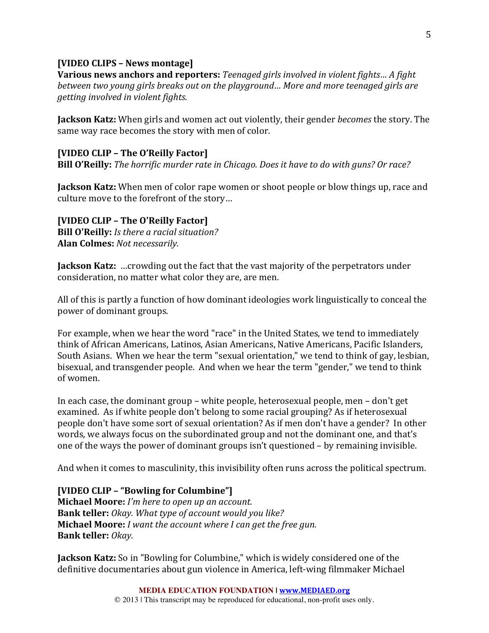### **[VIDEO CLIPS – News montage]**

**Various news anchors and reporters:** *Teenaged girls involved in violent fights... A fight between two young girls breaks out on the playground... More and more teenaged girls are getting involved in violent fights.* 

**Jackson Katz:** When girls and women act out violently, their gender *becomes* the story. The same way race becomes the story with men of color.

### **[VIDEO CLIP – The O'Reilly Factor]**

**Bill O'Reilly:** *The horrific murder rate in Chicago. Does it have to do with guns? Or race?* 

**Jackson Katz:** When men of color rape women or shoot people or blow things up, race and culture move to the forefront of the story...

**[VIDEO CLIP – The O'Reilly Factor] Bill O'Reilly:** *Is there a racial situation?* **Alan Colmes:** *Not necessarily.*

**Jackson Katz:** ... crowding out the fact that the vast majority of the perpetrators under consideration, no matter what color they are, are men.

All of this is partly a function of how dominant ideologies work linguistically to conceal the power of dominant groups.

For example, when we hear the word "race" in the United States, we tend to immediately think of African Americans, Latinos, Asian Americans, Native Americans, Pacific Islanders, South Asians. When we hear the term "sexual orientation," we tend to think of gay, lesbian, bisexual, and transgender people. And when we hear the term "gender," we tend to think of women.

In each case, the dominant group – white people, heterosexual people, men – don't get examined. As if white people don't belong to some racial grouping? As if heterosexual people don't have some sort of sexual orientation? As if men don't have a gender? In other words, we always focus on the subordinated group and not the dominant one, and that's one of the ways the power of dominant groups  $\sin$ 't questioned  $-$  by remaining invisible.

And when it comes to masculinity, this invisibility often runs across the political spectrum.

#### **[VIDEO CLIP – "Bowling for Columbine"]**

**Michael Moore:** *I'm here to open up an account.* **Bank teller:** *Okay. What type of account would you like?* **Michael Moore:** *I* want the account where *I* can get the free gun. **Bank teller:** *Okay.*

**Jackson Katz:** So in "Bowling for Columbine," which is widely considered one of the definitive documentaries about gun violence in America, left-wing filmmaker Michael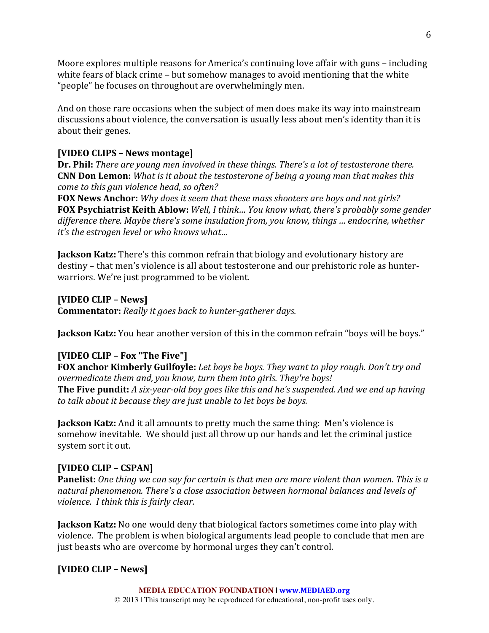Moore explores multiple reasons for America's continuing love affair with guns – including white fears of black crime  $-$  but somehow manages to avoid mentioning that the white "people" he focuses on throughout are overwhelmingly men.

And on those rare occasions when the subject of men does make its way into mainstream discussions about violence, the conversation is usually less about men's identity than it is about their genes.

# **[VIDEO CLIPS – News montage]**

**Dr. Phil:** *There are young men involved in these things. There's a lot of testosterone there.* **CNN Don Lemon:** *What is it about the testosterone of being a young man that makes this come to this gun violence head, so often?* 

**FOX** News Anchor: Why does it seem that these mass shooters are boys and not girls? **FOX Psychiatrist Keith Ablow:** Well, I think... You know what, there's probably some gender difference there. Maybe there's some insulation from, you know, things *...* endocrine, whether *it's* the estrogen level or who knows what...

**Jackson Katz:** There's this common refrain that biology and evolutionary history are destiny – that men's violence is all about testosterone and our prehistoric role as hunterwarriors. We're just programmed to be violent.

### **[VIDEO CLIP – News]**

**Commentator:** Really it goes back to hunter-gatherer days.

**Jackson Katz:** You hear another version of this in the common refrain "boys will be boys."

# **[VIDEO CLIP – Fox "The Five"]**

**FOX anchor Kimberly Guilfoyle:** Let boys be boys. They want to play rough. Don't try and *overmedicate them and, you know, turn them into girls. They're boys!* **The Five pundit:** *A* six-year-old boy goes like this and he's suspended. And we end up having to talk about it because they are just unable to let boys be boys.

**Jackson Katz:** And it all amounts to pretty much the same thing: Men's violence is somehow inevitable. We should just all throw up our hands and let the criminal justice system sort it out.

# **[VIDEO CLIP – CSPAN]**

**Panelist:** One thing we can say for certain is that men are more violent than women. This is a natural phenomenon. There's a close association between hormonal balances and levels of *violence. I think this is fairly clear.* 

**Jackson Katz:** No one would deny that biological factors sometimes come into play with violence. The problem is when biological arguments lead people to conclude that men are just beasts who are overcome by hormonal urges they can't control.

# **[VIDEO CLIP – News]**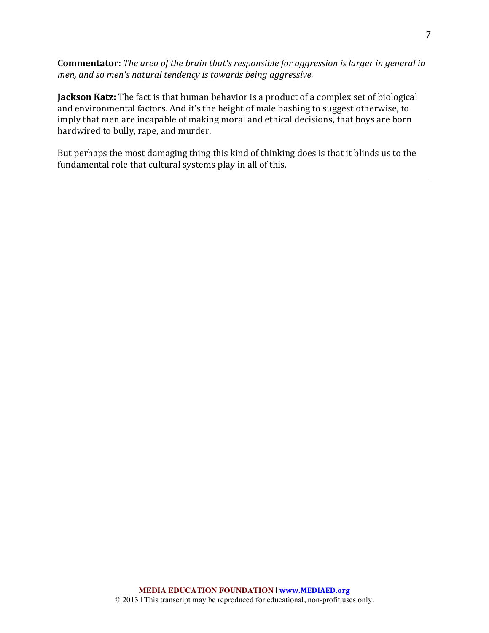**Commentator:** *The area of the brain that's responsible for aggression is larger in general in men, and so men's natural tendency is towards being aggressive.* 

**Jackson Katz:** The fact is that human behavior is a product of a complex set of biological and environmental factors. And it's the height of male bashing to suggest otherwise, to imply that men are incapable of making moral and ethical decisions, that boys are born hardwired to bully, rape, and murder.

But perhaps the most damaging thing this kind of thinking does is that it blinds us to the fundamental role that cultural systems play in all of this.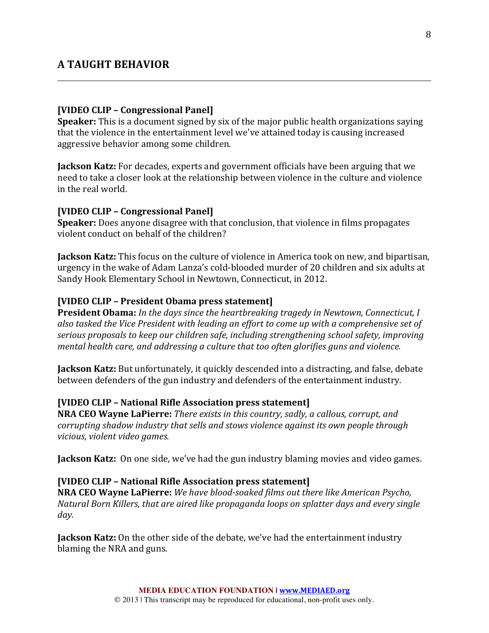### **A TAUGHT BEHAVIOR**

#### **[VIDEO CLIP – Congressional Panel]**

**Speaker:** This is a document signed by six of the major public health organizations saying that the violence in the entertainment level we've attained today is causing increased aggressive behavior among some children.

**Jackson Katz:** For decades, experts and government officials have been arguing that we need to take a closer look at the relationship between violence in the culture and violence in the real world.

#### **[VIDEO CLIP – Congressional Panel]**

**Speaker:** Does anyone disagree with that conclusion, that violence in films propagates violent conduct on behalf of the children?

**Jackson Katz:** This focus on the culture of violence in America took on new, and bipartisan, urgency in the wake of Adam Lanza's cold-blooded murder of 20 children and six adults at Sandy Hook Elementary School in Newtown, Connecticut, in 2012.

#### **[VIDEO CLIP – President Obama press statement]**

**President Obama:** In the days since the heartbreaking tragedy in Newtown, Connecticut, I also tasked the Vice President with leading an effort to come up with a comprehensive set of serious proposals to keep our children safe, including strengthening school safety, improving *mental health care, and addressing a culture that too often glorifies guns and violence.* 

**Jackson Katz:** But unfortunately, it quickly descended into a distracting, and false, debate between defenders of the gun industry and defenders of the entertainment industry.

#### **[VIDEO CLIP – National Rifle Association press statement]**

**NRA CEO Wayne LaPierre:** *There exists in this country, sadly, a callous, corrupt, and corrupting shadow industry that sells and stows violence against its own people through vicious, violent video games.*

**Jackson Katz:** On one side, we've had the gun industry blaming movies and video games.

#### **[VIDEO CLIP – National Rifle Association press statement]**

**NRA CEO Wayne LaPierre:** *We have blood-soaked films out there like American Psycho, Natural Born Killers, that are aired like propaganda loops on splatter days and every single day.*

**Jackson Katz:** On the other side of the debate, we've had the entertainment industry blaming the NRA and guns.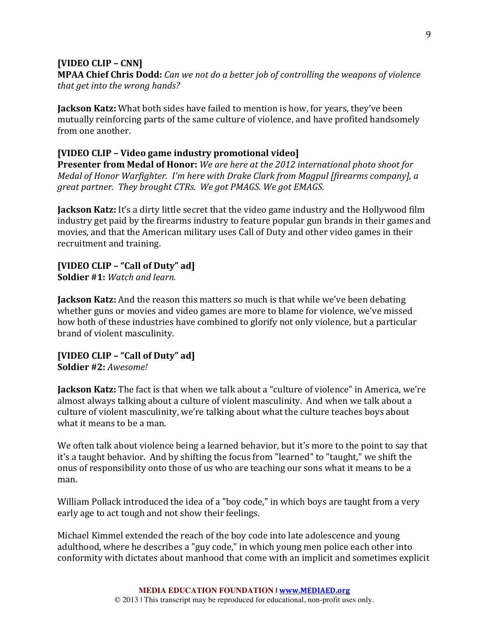### **[VIDEO CLIP – CNN]**

**MPAA Chief Chris Dodd:** *Can we not do a better job of controlling the weapons of violence that get into the wrong hands?* 

**Jackson Katz:** What both sides have failed to mention is how, for years, they've been mutually reinforcing parts of the same culture of violence, and have profited handsomely from one another.

### **[VIDEO CLIP – Video game industry promotional video]**

**Presenter from Medal of Honor:** We are here at the 2012 international photo shoot for *Medal of Honor Warfighter. I'm here with Drake Clark from Magpul [firearms company], a* great partner. They brought CTRs. We got PMAGS. We got EMAGS.

**Jackson Katz:** It's a dirty little secret that the video game industry and the Hollywood film industry get paid by the firearms industry to feature popular gun brands in their games and movies, and that the American military uses Call of Duty and other video games in their recruitment and training.

# **[VIDEO CLIP – "Call of Duty" ad]**

**Soldier #1:** *Watch and learn.* 

**Jackson Katz:** And the reason this matters so much is that while we've been debating whether guns or movies and video games are more to blame for violence, we've missed how both of these industries have combined to glorify not only violence, but a particular brand of violent masculinity.

### **[VIDEO CLIP – "Call of Duty" ad] Soldier #2:** *Awesome!*

**Jackson Katz:** The fact is that when we talk about a "culture of violence" in America, we're almost always talking about a culture of violent masculinity. And when we talk about a culture of violent masculinity, we're talking about what the culture teaches boys about what it means to be a man.

We often talk about violence being a learned behavior, but it's more to the point to say that it's a taught behavior. And by shifting the focus from "learned" to "taught," we shift the onus of responsibility onto those of us who are teaching our sons what it means to be a man.

William Pollack introduced the idea of a "boy code," in which boys are taught from a very early age to act tough and not show their feelings.

Michael Kimmel extended the reach of the boy code into late adolescence and young adulthood, where he describes a "guy code," in which young men police each other into conformity with dictates about manhood that come with an implicit and sometimes explicit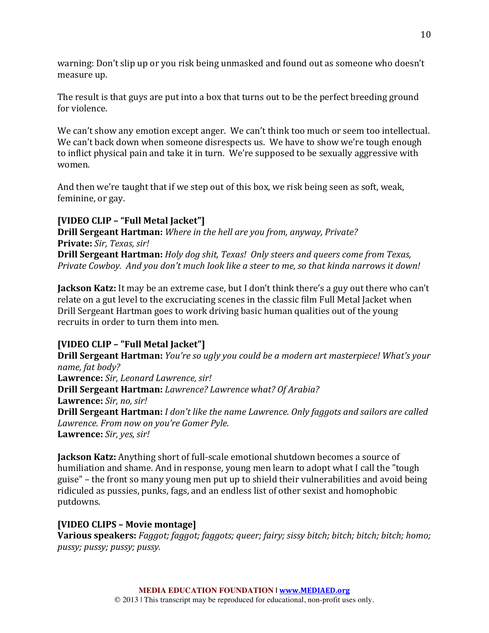warning: Don't slip up or you risk being unmasked and found out as someone who doesn't measure up.

The result is that guys are put into a box that turns out to be the perfect breeding ground for violence.

We can't show any emotion except anger. We can't think too much or seem too intellectual. We can't back down when someone disrespects us. We have to show we're tough enough to inflict physical pain and take it in turn. We're supposed to be sexually aggressive with women.

And then we're taught that if we step out of this box, we risk being seen as soft, weak, feminine, or gay.

# **[VIDEO CLIP – "Full Metal Jacket"]**

**Drill Sergeant Hartman:** *Where in the hell are you from, anyway, Private?* **Private:** *Sir, Texas, sir!* **Drill Sergeant Hartman:** *Holy dog shit, Texas! Only steers and queers come from Texas, Private Cowboy. And you don't much look like a steer to me, so that kinda narrows it down!* 

**Jackson Katz:** It may be an extreme case, but I don't think there's a guy out there who can't relate on a gut level to the excruciating scenes in the classic film Full Metal Jacket when Drill Sergeant Hartman goes to work driving basic human qualities out of the young recruits in order to turn them into men.

# **[VIDEO CLIP – "Full Metal Jacket"]**

**Drill Sergeant Hartman:** *You're so ugly you could be a modern art masterpiece! What's your name, fat body?* Lawrence: Sir, Leonard Lawrence, sir! **Drill Sergeant Hartman:** *Lawrence? Lawrence what? Of Arabia?* **Lawrence:** *Sir, no, sir!* **Drill Sergeant Hartman:** *I don't like the name Lawrence. Only faggots and sailors are called* Lawrence. From now on you're Gomer Pyle. **Lawrence:** *Sir, yes, sir!*

**Jackson Katz:** Anything short of full-scale emotional shutdown becomes a source of humiliation and shame. And in response, young men learn to adopt what I call the "tough guise" – the front so many young men put up to shield their vulnerabilities and avoid being ridiculed as pussies, punks, fags, and an endless list of other sexist and homophobic putdowns.

# **[VIDEO CLIPS – Movie montage]**

**Various speakers:** *Faggot;* faggot; faggots; queer; fairy; sissy bitch; bitch; bitch; bitch; homo; *pussy; pussy; pussy; pussy.*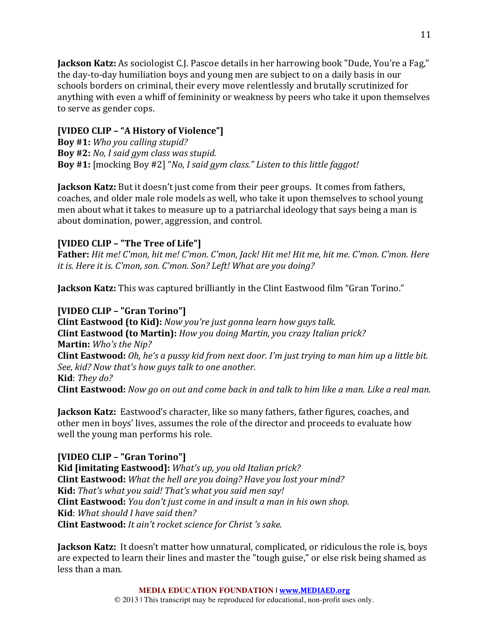**Jackson Katz:** As sociologist C.J. Pascoe details in her harrowing book "Dude, You're a Fag," the day-to-day humiliation boys and young men are subject to on a daily basis in our schools borders on criminal, their every move relentlessly and brutally scrutinized for anything with even a whiff of femininity or weakness by peers who take it upon themselves to serve as gender cops.

# **[VIDEO CLIP – "A History of Violence"]**

**Boy #1:** *Who you calling stupid?* **Boy #2:** *No, I said gym class was stupid.* Boy #1: [mocking Boy #2] "*No, I said gym class." Listen to this little faggot!* 

**Jackson Katz:** But it doesn't just come from their peer groups. It comes from fathers, coaches, and older male role models as well, who take it upon themselves to school young men about what it takes to measure up to a patriarchal ideology that says being a man is about domination, power, aggression, and control.

# **[VIDEO CLIP – "The Tree of Life"]**

**Father:** *Hit me! C'mon, hit me! C'mon. C'mon, Jack! Hit me! Hit me, hit me. C'mon. C'mon. Here it is. Here it is.* C'mon, son. C'mon. Son? Left! What are you doing?

**Jackson Katz:** This was captured brilliantly in the Clint Eastwood film "Gran Torino."

# **[VIDEO CLIP – "Gran Torino"]**

**Clint Eastwood (to Kid):** *Now you're just gonna learn how guys talk.* **Clint Eastwood (to Martin):** *How you doing Martin, you crazy Italian prick?* **Martin:** *Who's the Nip?* **Clint Eastwood:** *Oh, he's a pussy kid from next door. I'm just trying to man him up a little bit. See, kid?* Now that's how guys talk to one another. **Kid**: *They* do? **Clint Eastwood:** *Now go on out and come back in and talk to him like a man. Like a real man.* 

**Jackson Katz:** Eastwood's character, like so many fathers, father figures, coaches, and other men in boys' lives, assumes the role of the director and proceeds to evaluate how well the young man performs his role.

# **[VIDEO CLIP – "Gran Torino"]**

Kid *[imitating Eastwood]: What's up, you old Italian prick?* **Clint Eastwood:** *What the hell are you doing? Have you lost your mind?* **Kid:** *That's* what you said! That's what you said men say! **Clint Eastwood:** *You don't just come in and insult a man in his own shop.* **Kid**: *What should I have said then?* **Clint Eastwood:** *It ain't rocket science for Christ's sake.* 

**Jackson Katz:** It doesn't matter how unnatural, complicated, or ridiculous the role is, boys are expected to learn their lines and master the "tough guise," or else risk being shamed as less than a man.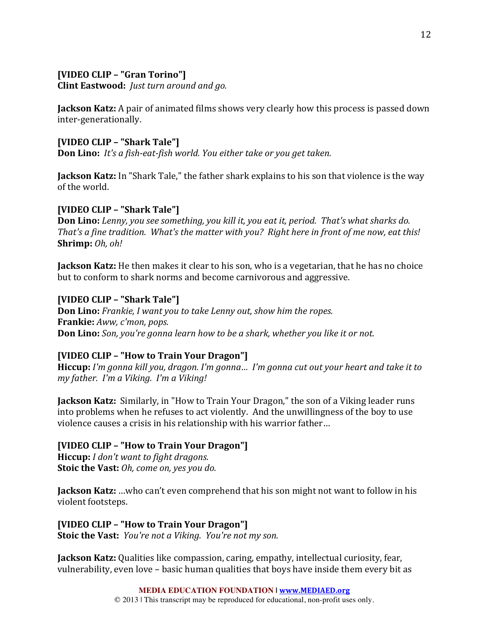# **[VIDEO CLIP – "Gran Torino"]**

**Clint Eastwood:** *Just turn around and go.* 

**Jackson Katz:** A pair of animated films shows very clearly how this process is passed down inter-generationally.

### **[VIDEO CLIP – "Shark Tale"]**

**Don Lino:** *It's a fish-eat-fish world.* You either take or you get taken.

**Jackson Katz:** In "Shark Tale," the father shark explains to his son that violence is the way of the world.

### **[VIDEO CLIP – "Shark Tale"]**

**Don Lino:** *Lenny, you see something, you kill it, you eat it, period. That's what sharks do. That's a fine tradition.* What's the matter with you? Right here in front of me now, eat this! **Shrimp:** *Oh, oh!* 

**Jackson Katz:** He then makes it clear to his son, who is a vegetarian, that he has no choice but to conform to shark norms and become carnivorous and aggressive.

### **[VIDEO CLIP – "Shark Tale"]**

**Don Lino:** *Frankie, I want you to take Lenny out, show him the ropes.* **Frankie:** Aww, c'mon, pops. **Don Lino:** *Son, you're gonna learn how to be a shark, whether you like it or not.* 

### **[VIDEO CLIP – "How to Train Your Dragon"]**

Hiccup: I'm gonna kill you, dragon. I'm gonna... I'm gonna cut out your heart and take it to *my* father. I'm a Viking. I'm a Viking!

**Jackson Katz:** Similarly, in "How to Train Your Dragon," the son of a Viking leader runs into problems when he refuses to act violently. And the unwillingness of the boy to use violence causes a crisis in his relationship with his warrior father...

**[VIDEO CLIP – "How to Train Your Dragon"]**

**Hiccup:** *I* don't want to fight dragons. **Stoic the Vast:** *Oh, come on, yes you do.* 

**Jackson Katz:** …who can't even comprehend that his son might not want to follow in his violent footsteps.

**[VIDEO CLIP – "How to Train Your Dragon"] Stoic the Vast:** *You're not a Viking. You're not my son.* 

**Jackson Katz:** Qualities like compassion, caring, empathy, intellectual curiosity, fear, vulnerability, even love – basic human qualities that boys have inside them every bit as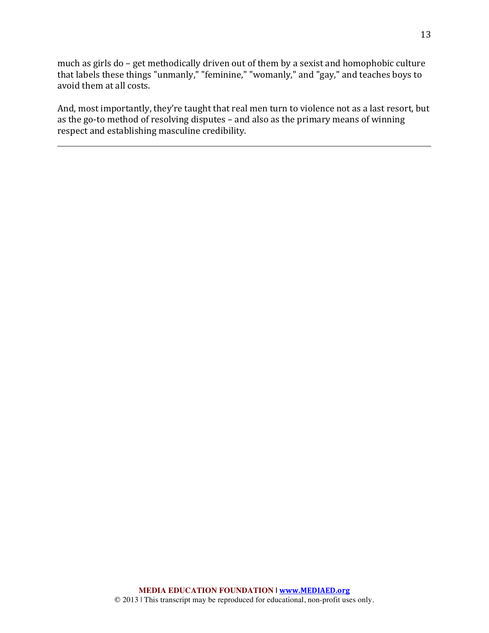much as girls do - get methodically driven out of them by a sexist and homophobic culture that labels these things "unmanly," "feminine," "womanly," and "gay," and teaches boys to avoid them at all costs.

And, most importantly, they're taught that real men turn to violence not as a last resort, but as the go-to method of resolving disputes – and also as the primary means of winning respect and establishing masculine credibility.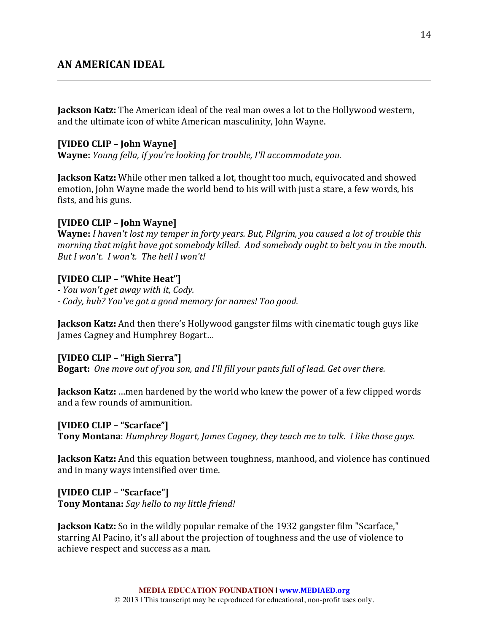# **AN AMERICAN IDEAL**

**Jackson Katz:** The American ideal of the real man owes a lot to the Hollywood western, and the ultimate icon of white American masculinity, John Wayne.

#### **[VIDEO CLIP – John Wayne]**

**Wayne:** *Young fella, if you're looking for trouble, I'll accommodate you.* 

**Jackson Katz:** While other men talked a lot, thought too much, equivocated and showed emotion, John Wayne made the world bend to his will with just a stare, a few words, his fists, and his guns.

#### **[VIDEO CLIP – John Wayne]**

**Wayne:** *I* haven't lost my temper in forty years. But, Pilgrim, you caused a lot of trouble this *morning that might have got somebody killed. And somebody ought to belt you in the mouth. But I* won't. *I* won't. The hell *I* won't!

#### **[VIDEO CLIP – "White Heat"]**

*- You won't get away with it, Cody.*

*- Cody, huh? You've got a good memory for names! Too good.*

**Jackson Katz:** And then there's Hollywood gangster films with cinematic tough guys like James Cagney and Humphrey Bogart...

#### **[VIDEO CLIP – "High Sierra"]**

**Bogart:** One move out of you son, and I'll fill your pants full of lead. Get over there.

**Jackson Katz:** ...men hardened by the world who knew the power of a few clipped words and a few rounds of ammunition.

#### **[VIDEO CLIP – "Scarface"]**

**Tony Montana**: *Humphrey Bogart, James Cagney, they teach me to talk. I like those guys.* 

**Jackson Katz:** And this equation between toughness, manhood, and violence has continued and in many ways intensified over time.

**[VIDEO CLIP – "Scarface"] Tony Montana:** *Say hello to my little friend!* 

**Jackson Katz:** So in the wildly popular remake of the 1932 gangster film "Scarface," starring Al Pacino, it's all about the projection of toughness and the use of violence to achieve respect and success as a man.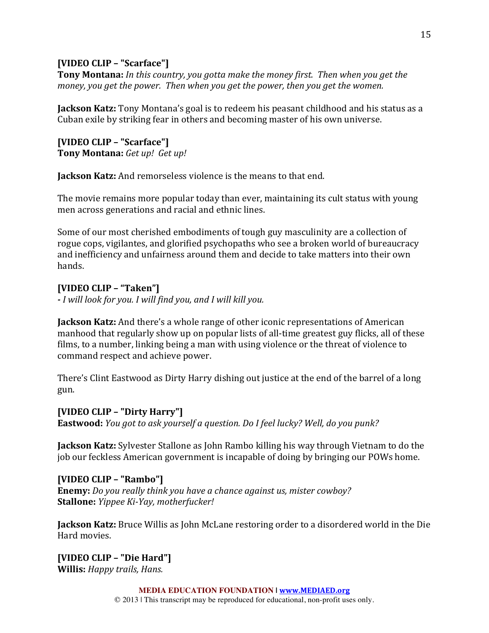# **[VIDEO CLIP – "Scarface"]**

**Tony Montana:** In this country, you gotta make the money first. Then when you get the *money, you get the power. Then when you get the power, then you get the women.* 

**Jackson Katz:** Tony Montana's goal is to redeem his peasant childhood and his status as a Cuban exile by striking fear in others and becoming master of his own universe.

**[VIDEO CLIP – "Scarface"] Tony Montana:** Get up! Get up!

**Jackson Katz:** And remorseless violence is the means to that end.

The movie remains more popular today than ever, maintaining its cult status with young men across generations and racial and ethnic lines.

Some of our most cherished embodiments of tough guy masculinity are a collection of rogue cops, vigilantes, and glorified psychopaths who see a broken world of bureaucracy and inefficiency and unfairness around them and decide to take matters into their own hands.

# **[VIDEO CLIP – "Taken"]**

*- I will look for you. I will find you, and I will kill you.*

**Jackson Katz:** And there's a whole range of other iconic representations of American manhood that regularly show up on popular lists of all-time greatest guy flicks, all of these films, to a number, linking being a man with using violence or the threat of violence to command respect and achieve power.

There's Clint Eastwood as Dirty Harry dishing out justice at the end of the barrel of a long gun.

**[VIDEO CLIP – "Dirty Harry"] Eastwood:** *You got to ask yourself a question. Do I feel lucky? Well, do you punk?* 

**Jackson Katz:** Sylvester Stallone as John Rambo killing his way through Vietnam to do the job our feckless American government is incapable of doing by bringing our POWs home.

# **[VIDEO CLIP – "Rambo"]**

**Enemy:** *Do you really think you have a chance against us, mister cowboy?* **Stallone:** *Yippee Ki-Yay*, *motherfucker!* 

**Jackson Katz:** Bruce Willis as John McLane restoring order to a disordered world in the Die Hard movies.

**[VIDEO CLIP – "Die Hard"] Willis:** *Happy trails, Hans.* 

**MEDIA EDUCATION FOUNDATION | www.MEDIAED.org**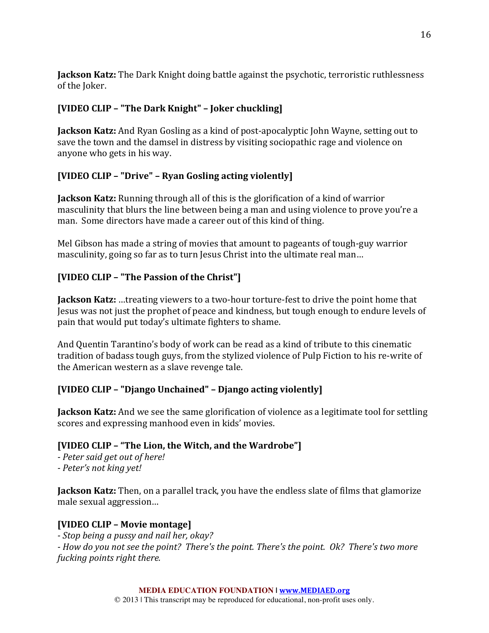**Jackson Katz:** The Dark Knight doing battle against the psychotic, terroristic ruthlessness of the Joker.

# **[VIDEO CLIP – "The Dark Knight" – Joker chuckling]**

**Jackson Katz:** And Ryan Gosling as a kind of post-apocalyptic John Wayne, setting out to save the town and the damsel in distress by visiting sociopathic rage and violence on anyone who gets in his way.

# **[VIDEO CLIP – "Drive" – Ryan Gosling acting violently]**

**Jackson Katz:** Running through all of this is the glorification of a kind of warrior masculinity that blurs the line between being a man and using violence to prove you're a man. Some directors have made a career out of this kind of thing.

Mel Gibson has made a string of movies that amount to pageants of tough-guy warrior masculinity, going so far as to turn Jesus Christ into the ultimate real man...

# **[VIDEO CLIP – "The Passion of the Christ"]**

**Jackson Katz:** ...treating viewers to a two-hour torture-fest to drive the point home that Jesus was not just the prophet of peace and kindness, but tough enough to endure levels of pain that would put today's ultimate fighters to shame.

And Quentin Tarantino's body of work can be read as a kind of tribute to this cinematic tradition of badass tough guys, from the stylized violence of Pulp Fiction to his re-write of the American western as a slave revenge tale.

# **[VIDEO CLIP – "Django Unchained" – Django acting violently]**

**Jackson Katz:** And we see the same glorification of violence as a legitimate tool for settling scores and expressing manhood even in kids' movies.

# **[VIDEO CLIP - "The Lion, the Witch, and the Wardrobe"]**

*- Peter said get out of here! - Peter's not king yet!*

**Jackson Katz:** Then, on a parallel track, you have the endless slate of films that glamorize male sexual aggression...

# **[VIDEO CLIP – Movie montage]**

*- Stop being a pussy and nail her, okay?*

*-* How do you not see the point? There's the point. There's the point. Ok? There's two more *fucking points right there.*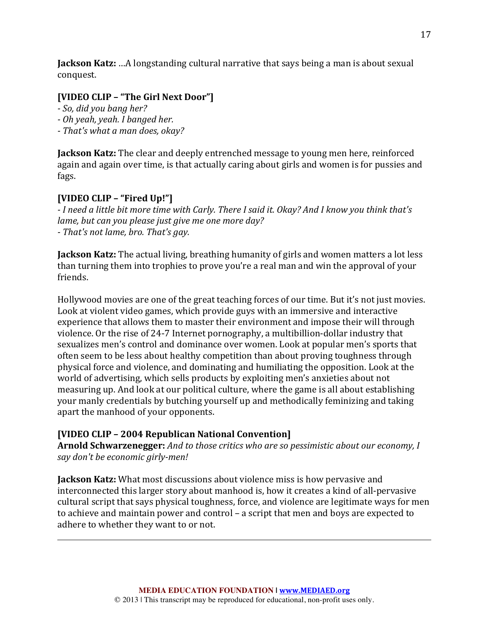**Jackson Katz:** ...A longstanding cultural narrative that says being a man is about sexual conquest.

# **[VIDEO CLIP – "The Girl Next Door"]**

- *- So, did you bang her?*
- *- Oh yeah, yeah. I banged her.*
- *- That's what a man does, okay?*

**Jackson Katz:** The clear and deeply entrenched message to young men here, reinforced again and again over time, is that actually caring about girls and women is for pussies and fags.

# **[VIDEO CLIP – "Fired Up!"]**

*- I* need a little bit more time with Carly. There I said it. Okay? And I know you think that's *lame, but can you please just give me one more day? - That's not lame, bro. That's gay.*

**Jackson Katz:** The actual living, breathing humanity of girls and women matters a lot less than turning them into trophies to prove you're a real man and win the approval of your friends.

Hollywood movies are one of the great teaching forces of our time. But it's not just movies. Look at violent video games, which provide guys with an immersive and interactive experience that allows them to master their environment and impose their will through violence. Or the rise of 24-7 Internet pornography, a multibillion-dollar industry that sexualizes men's control and dominance over women. Look at popular men's sports that often seem to be less about healthy competition than about proving toughness through physical force and violence, and dominating and humiliating the opposition. Look at the world of advertising, which sells products by exploiting men's anxieties about not measuring up. And look at our political culture, where the game is all about establishing your manly credentials by butching yourself up and methodically feminizing and taking apart the manhood of your opponents.

# **[VIDEO CLIP – 2004 Republican National Convention]**

**Arnold Schwarzenegger:** *And to those critics who are so pessimistic about our economy, I say don't be economic girly-men!*

**Jackson Katz:** What most discussions about violence miss is how pervasive and interconnected this larger story about manhood is, how it creates a kind of all-pervasive cultural script that says physical toughness, force, and violence are legitimate ways for men to achieve and maintain power and control – a script that men and boys are expected to adhere to whether they want to or not.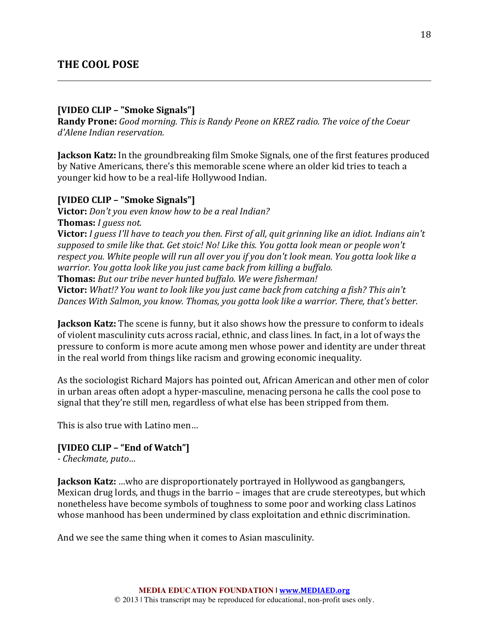### **[VIDEO CLIP – "Smoke Signals"]**

**Randy Prone:** *Good morning. This is Randy Peone on KREZ radio. The voice of the Coeur d'Alene Indian reservation.*

**Jackson Katz:** In the groundbreaking film Smoke Signals, one of the first features produced by Native Americans, there's this memorable scene where an older kid tries to teach a younger kid how to be a real-life Hollywood Indian.

### **[VIDEO CLIP – "Smoke Signals"]**

**Victor:** *Don't you even know how to be a real Indian?* **Thomas:** *I* guess not. **Victor:** *I guess I'll have to teach you then. First of all, quit grinning like an idiot. Indians ain't* supposed to smile like that. Get stoic! No! Like this. You gotta look mean or people won't respect you. White people will run all over you if you don't look mean. You gotta look like a *warrior. You gotta look like you just came back from killing a buffalo.* **Thomas:** But our tribe never hunted buffalo. We were fisherman! **Victor:** *What!?* You want to look like you just came back from catching a fish? This ain't *Dances With Salmon, you know. Thomas, you gotta look like a warrior. There, that's better.* 

**Jackson Katz:** The scene is funny, but it also shows how the pressure to conform to ideals of violent masculinity cuts across racial, ethnic, and class lines. In fact, in a lot of ways the pressure to conform is more acute among men whose power and identity are under threat in the real world from things like racism and growing economic inequality.

As the sociologist Richard Majors has pointed out, African American and other men of color in urban areas often adopt a hyper-masculine, menacing persona he calls the cool pose to signal that they're still men, regardless of what else has been stripped from them.

This is also true with Latino men...

#### **[VIDEO CLIP – "End of Watch"]**

*- Checkmate, puto…*

**Jackson Katz:** ...who are disproportionately portrayed in Hollywood as gangbangers, Mexican drug lords, and thugs in the barrio – images that are crude stereotypes, but which nonetheless have become symbols of toughness to some poor and working class Latinos whose manhood has been undermined by class exploitation and ethnic discrimination.

And we see the same thing when it comes to Asian masculinity.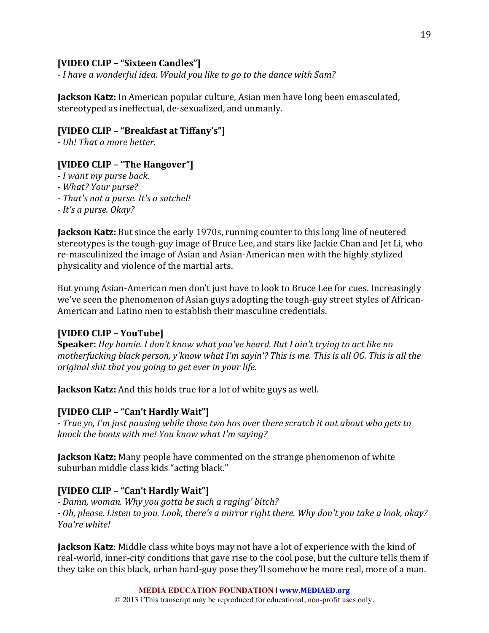### **[VIDEO CLIP – "Sixteen Candles"]**

*- I have a wonderful idea. Would you like to go to the dance with Sam?*

**Jackson Katz:** In American popular culture, Asian men have long been emasculated, stereotyped as ineffectual, de-sexualized, and unmanly.

### **[VIDEO CLIP – "Breakfast at Tiffany's"]**

*- Uh! That a more better.*

# **[VIDEO CLIP – "The Hangover"]**

- *- I want my purse back.*
- *- What? Your purse?*
- *- That's not a purse. It's a satchel!*
- *- It's a purse. Okay?*

**Jackson Katz:** But since the early 1970s, running counter to this long line of neutered stereotypes is the tough-guy image of Bruce Lee, and stars like Jackie Chan and Jet Li, who re-masculinized the image of Asian and Asian-American men with the highly stylized physicality and violence of the martial arts.

But young Asian-American men don't just have to look to Bruce Lee for cues. Increasingly we've seen the phenomenon of Asian guys adopting the tough-guy street styles of African-American and Latino men to establish their masculine credentials.

# **[VIDEO CLIP – YouTube]**

**Speaker:** *Hey homie.* I don't know what you've heard. But I ain't trying to act like no *motherfucking black person, y'know what I'm sayin'? This is me. This is all OG. This is all the original shit that you going to get ever in your life.* 

**Jackson Katz:** And this holds true for a lot of white guys as well.

# **[VIDEO CLIP – "Can't Hardly Wait"]**

*- True yo, I'm just pausing while those two hos over there scratch it out about who gets to knock the boots with me! You know what I'm saying?* 

**Jackson Katz:** Many people have commented on the strange phenomenon of white suburban middle class kids "acting black."

# **[VIDEO CLIP – "Can't Hardly Wait"]**

*- Damn, woman. Why you gotta be such a raging' bitch? - Oh, please. Listen to you. Look, there's a mirror right there. Why don't you take a look, okay? You're white!*

**Jackson Katz**: Middle class white boys may not have a lot of experience with the kind of real-world, inner-city conditions that gave rise to the cool pose, but the culture tells them if they take on this black, urban hard-guy pose they'll somehow be more real, more of a man.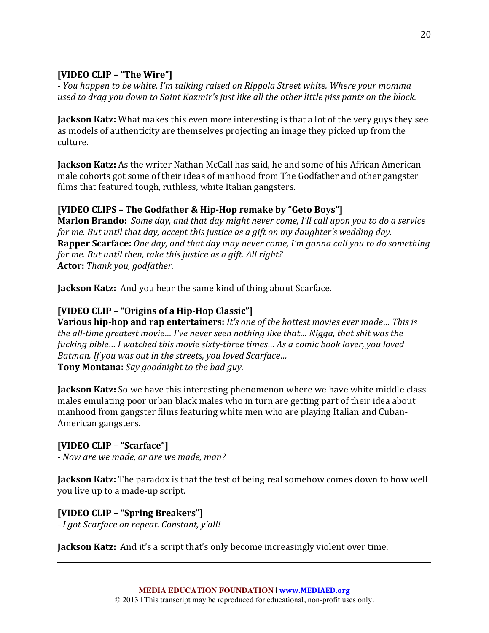# **[VIDEO CLIP – "The Wire"]**

*- You happen to be white. I'm talking raised on Rippola Street white. Where your momma*  used to drag you down to Saint Kazmir's just like all the other little piss pants on the block.

**Jackson Katz:** What makes this even more interesting is that a lot of the very guys they see as models of authenticity are themselves projecting an image they picked up from the culture.

**Jackson Katz:** As the writer Nathan McCall has said, he and some of his African American male cohorts got some of their ideas of manhood from The Godfather and other gangster films that featured tough, ruthless, white Italian gangsters.

# **[VIDEO CLIPS – The Godfather & Hip-Hop remake by "Geto Boys"]**

**Marlon Brando:** Some day, and that day might never come, I'll call upon you to do a service *for* me. But until that day, accept this justice as a gift on my daughter's wedding day. **Rapper Scarface:** *One day, and that day may never come, I'm gonna call you to do something for* me. But until then, take this justice as a gift. All right? **Actor:** *Thank you, godfather.*

**Jackson Katz:** And you hear the same kind of thing about Scarface.

# **[VIDEO CLIP – "Origins of a Hip-Hop Classic"]**

**Various hip-hop and rap entertainers:** *It's one of the hottest movies ever made... This is the all-time greatest movie... I've never seen nothing like that... Nigga, that shit was the fucking bible… I* watched this movie sixty-three times… As a comic book lover, you loved *Batman. If you was out in the streets, you loved Scarface...* **Tony Montana:** *Say goodnight to the bad guy.* 

**Jackson Katz:** So we have this interesting phenomenon where we have white middle class males emulating poor urban black males who in turn are getting part of their idea about manhood from gangster films featuring white men who are playing Italian and Cuban-American gangsters.

# **[VIDEO CLIP – "Scarface"]**

*- Now are we made, or are we made, man?*

**Jackson Katz:** The paradox is that the test of being real somehow comes down to how well you live up to a made-up script.

# **[VIDEO CLIP – "Spring Breakers"]**

*- I got Scarface on repeat. Constant, y'all!*

**Jackson Katz:** And it's a script that's only become increasingly violent over time.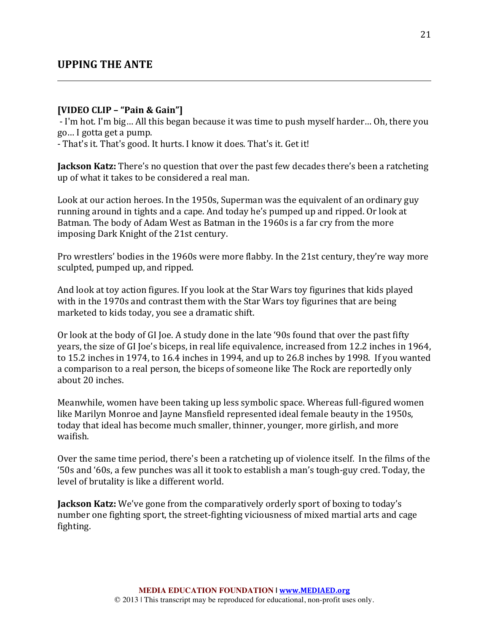# **UPPING THE ANTE**

#### **[VIDEO CLIP – "Pain & Gain"]**

- I'm hot. I'm big... All this began because it was time to push myself harder... Oh, there you go… I gotta get a pump.

- That's it. That's good. It hurts. I know it does. That's it. Get it!

**Jackson Katz:** There's no question that over the past few decades there's been a ratcheting up of what it takes to be considered a real man.

Look at our action heroes. In the 1950s, Superman was the equivalent of an ordinary guy running around in tights and a cape. And today he's pumped up and ripped. Or look at Batman. The body of Adam West as Batman in the 1960s is a far cry from the more imposing Dark Knight of the 21st century.

Pro wrestlers' bodies in the 1960s were more flabby. In the 21st century, they're way more sculpted, pumped up, and ripped.

And look at toy action figures. If you look at the Star Wars toy figurines that kids played with in the 1970s and contrast them with the Star Wars toy figurines that are being marketed to kids today, you see a dramatic shift.

Or look at the body of GI Joe. A study done in the late '90s found that over the past fifty years, the size of GI Joe's biceps, in real life equivalence, increased from 12.2 inches in 1964, to 15.2 inches in 1974, to 16.4 inches in 1994, and up to 26.8 inches by 1998. If you wanted a comparison to a real person, the biceps of someone like The Rock are reportedly only about 20 inches.

Meanwhile, women have been taking up less symbolic space. Whereas full-figured women like Marilyn Monroe and Jayne Mansfield represented ideal female beauty in the 1950s, today that ideal has become much smaller, thinner, younger, more girlish, and more waifish.

Over the same time period, there's been a ratcheting up of violence itself. In the films of the '50s and '60s, a few punches was all it took to establish a man's tough-guy cred. Today, the level of brutality is like a different world.

**Jackson Katz:** We've gone from the comparatively orderly sport of boxing to today's number one fighting sport, the street-fighting viciousness of mixed martial arts and cage fighting.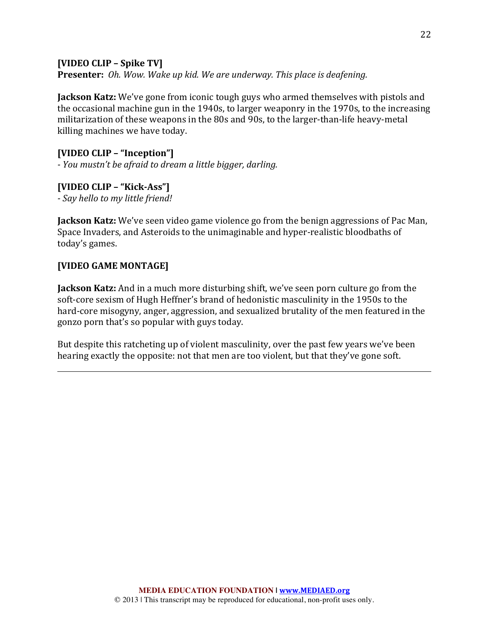### **[VIDEO CLIP – Spike TV]**

**Presenter:** *Oh. Wow. Wake up kid. We are underway. This place is deafening.* 

**Jackson Katz:** We've gone from iconic tough guys who armed themselves with pistols and the occasional machine gun in the 1940s, to larger weaponry in the 1970s, to the increasing militarization of these weapons in the 80s and 90s, to the larger-than-life heavy-metal killing machines we have today.

# **[VIDEO CLIP – "Inception"]**

*- You mustn't be afraid to dream a little bigger, darling.*

### **[VIDEO CLIP – "Kick-Ass"]**

*- Say hello to my little friend!*

**Jackson Katz:** We've seen video game violence go from the benign aggressions of Pac Man, Space Invaders, and Asteroids to the unimaginable and hyper-realistic bloodbaths of today's games.

# **[VIDEO GAME MONTAGE]**

**Jackson Katz:** And in a much more disturbing shift, we've seen porn culture go from the soft-core sexism of Hugh Heffner's brand of hedonistic masculinity in the 1950s to the hard-core misogyny, anger, aggression, and sexualized brutality of the men featured in the gonzo porn that's so popular with guys today.

But despite this ratcheting up of violent masculinity, over the past few years we've been hearing exactly the opposite: not that men are too violent, but that they've gone soft.

22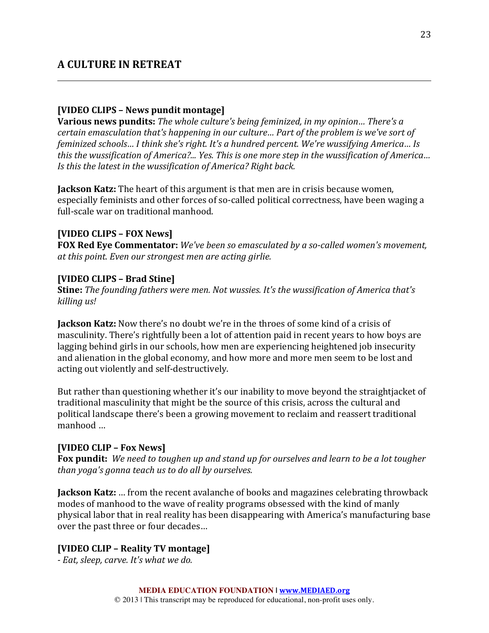# **A CULTURE IN RETREAT**

#### **[VIDEO CLIPS – News pundit montage]**

**Various news pundits:** The whole culture's being feminized, in my opinion... There's a *certain emasculation that's happening in our culture... Part of the problem is we've sort of feminized schools… I think she's right. It's a hundred percent. We're wussifying America... Is this the wussification of America?... Yes. This is one more step in the wussification of America... Is this the latest in the wussification of America? Right back.* 

**Jackson Katz:** The heart of this argument is that men are in crisis because women, especially feminists and other forces of so-called political correctness, have been waging a full-scale war on traditional manhood.

#### **[VIDEO CLIPS – FOX News]**

**FOX Red Eye Commentator:** We've been so emasculated by a so-called women's movement, *at this point.* Even our strongest men are acting girlie.

#### **[VIDEO CLIPS – Brad Stine]**

**Stine:** *The founding fathers were men. Not wussies. It's the wussification of America that's killing us!*

**Jackson Katz:** Now there's no doubt we're in the throes of some kind of a crisis of masculinity. There's rightfully been a lot of attention paid in recent years to how boys are lagging behind girls in our schools, how men are experiencing heightened job insecurity and alienation in the global economy, and how more and more men seem to be lost and acting out violently and self-destructively.

But rather than questioning whether it's our inability to move beyond the straightjacket of traditional masculinity that might be the source of this crisis, across the cultural and political landscape there's been a growing movement to reclaim and reassert traditional manhood ...

#### **[VIDEO CLIP – Fox News]**

**Fox pundit:** We need to toughen up and stand up for ourselves and learn to be a lot tougher *than* yoga's gonna teach us to do all by ourselves.

**Jackson Katz:** ... from the recent avalanche of books and magazines celebrating throwback modes of manhood to the wave of reality programs obsessed with the kind of manly physical labor that in real reality has been disappearing with America's manufacturing base over the past three or four decades...

#### **[VIDEO CLIP – Reality TV montage]**

*- Eat, sleep, carve. It's what we do.*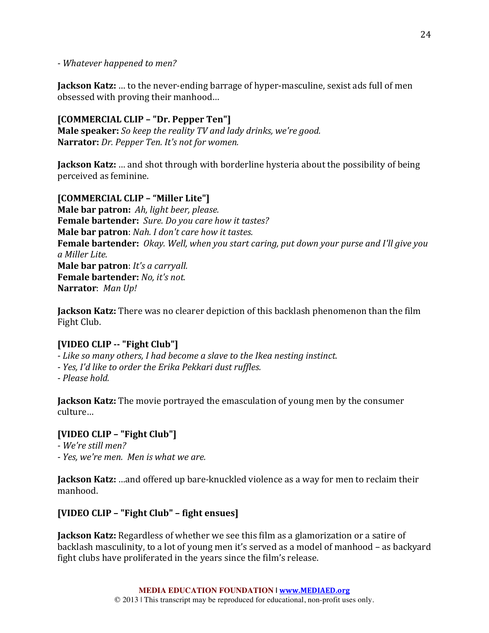*- Whatever happened to men?* 

**Jackson Katz:** ... to the never-ending barrage of hyper-masculine, sexist ads full of men obsessed with proving their manhood...

### **[COMMERCIAL CLIP – "Dr. Pepper Ten"]**

**Male speaker:** *So keep the reality TV and lady drinks, we're good.* **Narrator:** *Dr. Pepper Ten. It's not for women.* 

**Jackson Katz:** ... and shot through with borderline hysteria about the possibility of being perceived as feminine.

**[COMMERCIAL CLIP – "Miller Lite"] Male bar patron:** Ah, light beer, please. **Female bartender:** Sure. Do you care how it tastes? **Male bar patron**: *Nah. I don't care how it tastes.* **Female bartender:** *Okay. Well, when you start caring, put down your purse and I'll give you a Miller Lite.* **Male bar patron**: *It's a carryall.* **Female bartender:** *No, it's not.* **Narrator**: Man Up!

**Jackson Katz:** There was no clearer depiction of this backlash phenomenon than the film Fight Club.

### **[VIDEO CLIP -- "Fight Club"]**

- *-* Like so many others, I had become a slave to the Ikea nesting instinct.
- *- Yes, I'd like to order the Erika Pekkari dust ruffles.*
- *- Please hold.*

**Jackson Katz:** The movie portrayed the emasculation of young men by the consumer culture…

#### **[VIDEO CLIP – "Fight Club"]**

*- We're still men?*

*- Yes, we're men. Men is what we are.*

**Jackson Katz:** …and offered up bare-knuckled violence as a way for men to reclaim their manhood.

### **[VIDEO CLIP – "Fight Club" – fight ensues]**

**Jackson Katz:** Regardless of whether we see this film as a glamorization or a satire of backlash masculinity, to a lot of young men it's served as a model of manhood – as backyard fight clubs have proliferated in the years since the film's release.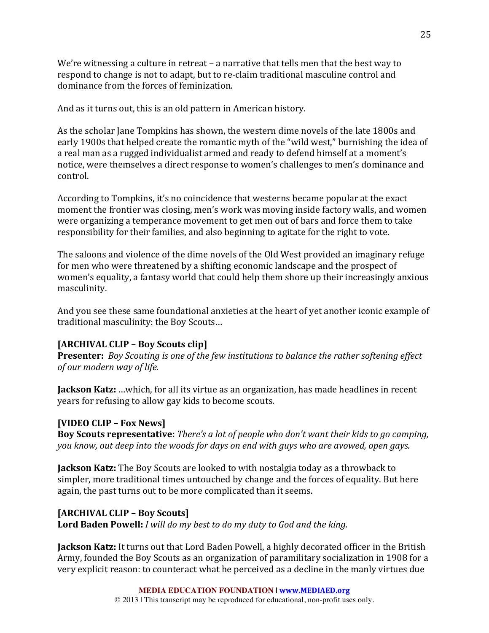We're witnessing a culture in retreat  $-$  a narrative that tells men that the best way to respond to change is not to adapt, but to re-claim traditional masculine control and dominance from the forces of feminization.

And as it turns out, this is an old pattern in American history.

As the scholar Jane Tompkins has shown, the western dime novels of the late 1800s and early 1900s that helped create the romantic myth of the "wild west," burnishing the idea of a real man as a rugged individualist armed and ready to defend himself at a moment's notice, were themselves a direct response to women's challenges to men's dominance and control.

According to Tompkins, it's no coincidence that westerns became popular at the exact moment the frontier was closing, men's work was moving inside factory walls, and women were organizing a temperance movement to get men out of bars and force them to take responsibility for their families, and also beginning to agitate for the right to vote.

The saloons and violence of the dime novels of the Old West provided an imaginary refuge for men who were threatened by a shifting economic landscape and the prospect of women's equality, a fantasy world that could help them shore up their increasingly anxious masculinity.

And you see these same foundational anxieties at the heart of yet another iconic example of traditional masculinity: the Boy Scouts...

### **[ARCHIVAL CLIP – Boy Scouts clip]**

**Presenter:** Boy Scouting is one of the few institutions to balance the rather softening effect *of our modern way of life.*

**Jackson Katz:** …which, for all its virtue as an organization, has made headlines in recent years for refusing to allow gay kids to become scouts.

### **[VIDEO CLIP – Fox News]**

Boy Scouts representative: *There's a lot of people who don't want their kids to go camping, you know, out deep into the woods for days on end with guys who are avowed, open gays.* 

**Jackson Katz:** The Boy Scouts are looked to with nostalgia today as a throwback to simpler, more traditional times untouched by change and the forces of equality. But here again, the past turns out to be more complicated than it seems.

### **[ARCHIVAL CLIP – Boy Scouts]**

**Lord Baden Powell:** *I* will do my best to do my duty to God and the king.

**Jackson Katz:** It turns out that Lord Baden Powell, a highly decorated officer in the British Army, founded the Boy Scouts as an organization of paramilitary socialization in 1908 for a very explicit reason: to counteract what he perceived as a decline in the manly virtues due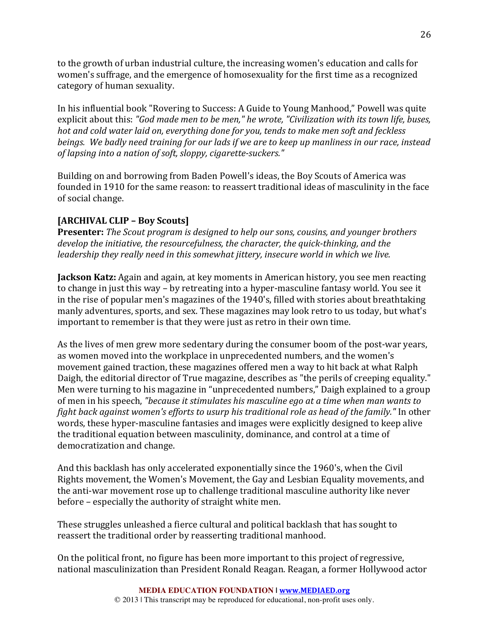to the growth of urban industrial culture, the increasing women's education and calls for women's suffrage, and the emergence of homosexuality for the first time as a recognized category of human sexuality.

In his influential book "Rovering to Success: A Guide to Young Manhood," Powell was quite explicit about this: "God made men to be men," he wrote, "Civilization with its town life, buses, *hot and cold water laid on, everything done for you, tends to make men soft and feckless beings.* We badly need training for our lads if we are to keep up manliness in our race, instead *of lapsing into a nation of soft, sloppy, cigarette-suckers."* 

Building on and borrowing from Baden Powell's ideas, the Boy Scouts of America was founded in 1910 for the same reason: to reassert traditional ideas of masculinity in the face of social change.

# **[ARCHIVAL CLIP – Boy Scouts]**

**Presenter:** *The Scout program is designed to help our sons, cousins, and younger brothers* develop the *initiative, the resourcefulness, the character, the quick-thinking, and the leadership* they really need in this somewhat *jittery, insecure world in which we live.* 

**Jackson Katz:** Again and again, at key moments in American history, you see men reacting to change in just this way – by retreating into a hyper-masculine fantasy world. You see it in the rise of popular men's magazines of the 1940's, filled with stories about breathtaking manly adventures, sports, and sex. These magazines may look retro to us today, but what's important to remember is that they were just as retro in their own time.

As the lives of men grew more sedentary during the consumer boom of the post-war years, as women moved into the workplace in unprecedented numbers, and the women's movement gained traction, these magazines offered men a way to hit back at what Ralph Daigh, the editorial director of True magazine, describes as "the perils of creeping equality." Men were turning to his magazine in "unprecedented numbers," Daigh explained to a group of men in his speech, "because it stimulates his masculine ego at a time when man wants to *fight back against women's efforts to usurp his traditional role as head of the family."* In other words, these hyper-masculine fantasies and images were explicitly designed to keep alive the traditional equation between masculinity, dominance, and control at a time of democratization and change.

And this backlash has only accelerated exponentially since the 1960's, when the Civil Rights movement, the Women's Movement, the Gay and Lesbian Equality movements, and the anti-war movement rose up to challenge traditional masculine authority like never before – especially the authority of straight white men.

These struggles unleashed a fierce cultural and political backlash that has sought to reassert the traditional order by reasserting traditional manhood.

On the political front, no figure has been more important to this project of regressive, national masculinization than President Ronald Reagan. Reagan, a former Hollywood actor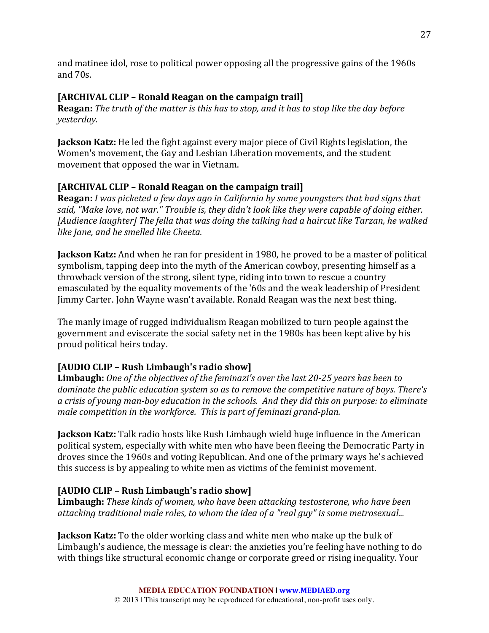and matinee idol, rose to political power opposing all the progressive gains of the 1960s and 70s.

# **[ARCHIVAL CLIP – Ronald Reagan on the campaign trail]**

**Reagan:** The truth of the matter is this has to stop, and it has to stop like the day before *yesterday.*

**Jackson Katz:** He led the fight against every major piece of Civil Rights legislation, the Women's movement, the Gay and Lesbian Liberation movements, and the student movement that opposed the war in Vietnam.

# **[ARCHIVAL CLIP – Ronald Reagan on the campaign trail]**

**Reagan:** *I* was picketed a few days ago in California by some youngsters that had signs that said, "Make love, not war." *Trouble* is, they didn't look like they were capable of doing either. *[Audience laughter] The fella that was doing the talking had a haircut like Tarzan, he walked like Jane, and he smelled like Cheeta.*

**Jackson Katz:** And when he ran for president in 1980, he proved to be a master of political symbolism, tapping deep into the myth of the American cowboy, presenting himself as a throwback version of the strong, silent type, riding into town to rescue a country emasculated by the equality movements of the '60s and the weak leadership of President Jimmy Carter. John Wayne wasn't available. Ronald Reagan was the next best thing.

The manly image of rugged individualism Reagan mobilized to turn people against the government and eviscerate the social safety net in the 1980s has been kept alive by his proud political heirs today.

# [AUDIO CLIP – Rush Limbaugh's radio show]

**Limbaugh:** One of the objectives of the feminazi's over the last 20-25 years has been to *dominate the public education system so as to remove the competitive nature of boys. There's a crisis of young man-boy education in the schools. And they did this on purpose: to eliminate male competition in the workforce. This is part of feminazi grand-plan.* 

**Jackson Katz:** Talk radio hosts like Rush Limbaugh wield huge influence in the American political system, especially with white men who have been fleeing the Democratic Party in droves since the 1960s and voting Republican. And one of the primary ways he's achieved this success is by appealing to white men as victims of the feminist movement.

# [AUDIO CLIP – Rush Limbaugh's radio show]

**Limbaugh:** *These kinds of women, who have been attacking testosterone, who have been attacking traditional male roles, to whom the idea of a "real guy" is some metrosexual...* 

**Jackson Katz:** To the older working class and white men who make up the bulk of Limbaugh's audience, the message is clear: the anxieties you're feeling have nothing to do with things like structural economic change or corporate greed or rising inequality. Your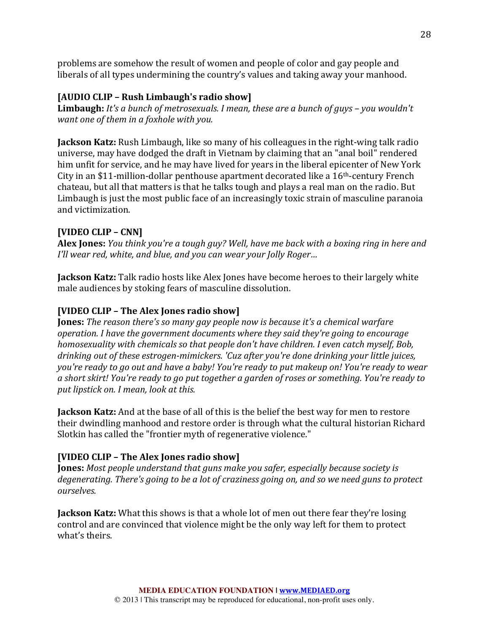problems are somehow the result of women and people of color and gay people and liberals of all types undermining the country's values and taking away your manhood.

# [AUDIO CLIP – Rush Limbaugh's radio show]

**Limbaugh:** *It's* a bunch of metrosexuals. I mean, these are a bunch of guys – you wouldn't *want one of them in a foxhole with you.* 

**Jackson Katz:** Rush Limbaugh, like so many of his colleagues in the right-wing talk radio universe, may have dodged the draft in Vietnam by claiming that an "anal boil" rendered him unfit for service, and he may have lived for years in the liberal epicenter of New York City in an \$11-million-dollar penthouse apartment decorated like a  $16<sup>th</sup>$ -century French chateau, but all that matters is that he talks tough and plays a real man on the radio. But Limbaugh is just the most public face of an increasingly toxic strain of masculine paranoia and victimization.

# **[VIDEO CLIP – CNN]**

**Alex Jones:** *You think you're a tough guy?* Well, have me back with a boxing ring in here and *I'll* wear red, white, and blue, and you can wear your Jolly Roger...

**Jackson Katz:** Talk radio hosts like Alex Jones have become heroes to their largely white male audiences by stoking fears of masculine dissolution.

# **[VIDEO CLIP – The Alex Jones radio show]**

**Jones:** *The reason there's so many gay people now is because it's a chemical warfare operation. I have the government documents where they said they're going to encourage homosexuality* with chemicals so that people don't have children. I even catch myself, Bob, *drinking out of these estrogen-mimickers. 'Cuz after you're done drinking your little juices, you're ready to go out and have a baby! You're ready to put makeup on! You're ready to wear a* short skirt! You're ready to go put together a garden of roses or something. You're ready to *put lipstick on. I mean, look at this.* 

**Jackson Katz:** And at the base of all of this is the belief the best way for men to restore their dwindling manhood and restore order is through what the cultural historian Richard Slotkin has called the "frontier myth of regenerative violence."

# **[VIDEO CLIP – The Alex Jones radio show]**

**Jones:** Most people understand that guns make you safer, especially because society is degenerating. There's going to be a lot of craziness going on, and so we need guns to protect *ourselves.*

**Jackson Katz:** What this shows is that a whole lot of men out there fear they're losing control and are convinced that violence might be the only way left for them to protect what's theirs.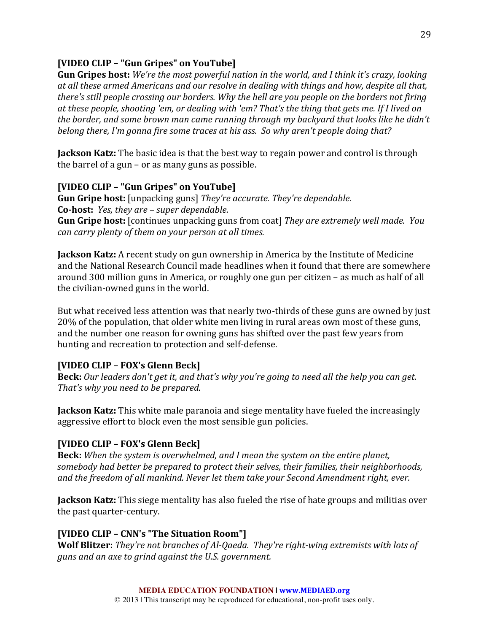### **[VIDEO CLIP – "Gun Gripes" on YouTube]**

**Gun Gripes host:** We're the most powerful nation in the world, and I think it's crazy, looking at all these armed Americans and our resolve in dealing with things and how, despite all that, *there's* still people crossing our borders. Why the hell are you people on the borders not firing at these people, shooting 'em, or dealing with 'em? That's the thing that gets me. If I lived on *the border, and some brown man came running through my backyard that looks like he didn't belong there, I'm gonna fire some traces at his ass. So why aren't people doing that?* 

**Jackson Katz:** The basic idea is that the best way to regain power and control is through the barrel of a gun – or as many guns as possible.

### **[VIDEO CLIP – "Gun Gripes" on YouTube]**

**Gun Gripe host:** [unpacking guns] *They're accurate. They're dependable.* **Co-host:** *Yes, they are – super dependable.* **Gun Gripe host:** [continues unpacking guns from coat] *They are extremely well made. You can carry plenty of them on your person at all times.* 

**Jackson Katz:** A recent study on gun ownership in America by the Institute of Medicine and the National Research Council made headlines when it found that there are somewhere around 300 million guns in America, or roughly one gun per citizen – as much as half of all the civilian-owned guns in the world.

But what received less attention was that nearly two-thirds of these guns are owned by just 20% of the population, that older white men living in rural areas own most of these guns, and the number one reason for owning guns has shifted over the past few years from hunting and recreation to protection and self-defense.

# **[VIDEO CLIP – FOX's Glenn Beck]**

**Beck:** Our leaders don't get it, and that's why you're going to need all the help you can get. *That's* why you need to be prepared.

**Jackson Katz:** This white male paranoia and siege mentality have fueled the increasingly aggressive effort to block even the most sensible gun policies.

# **[VIDEO CLIP – FOX's Glenn Beck]**

**Beck:** *When the system is overwhelmed, and I mean the system on the entire planet,* somebody had better be prepared to protect their selves, their families, their neighborhoods, and the freedom of all mankind. Never let them take your Second Amendment right, ever.

**Jackson Katz:** This siege mentality has also fueled the rise of hate groups and militias over the past quarter-century.

### **[VIDEO CLIP – CNN's "The Situation Room"]**

**Wolf Blitzer:** *They're not branches of Al-Qaeda. They're right-wing extremists with lots of* guns and an axe to grind against the U.S. government.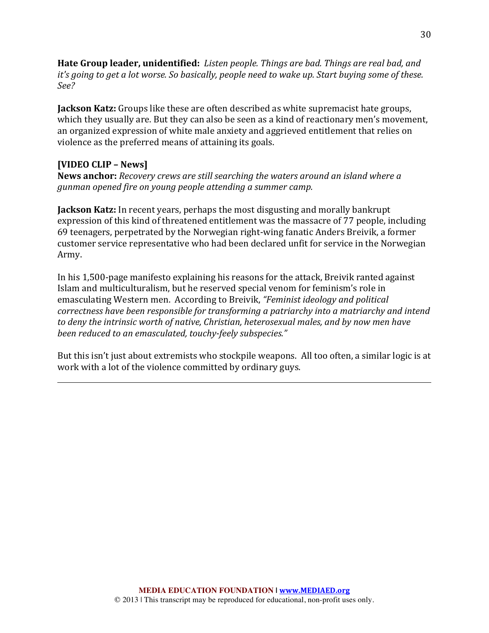**Hate Group leader, unidentified:** Listen people. Things are bad. Things are real bad, and *it's going to get a lot worse. So basically, people need to wake up. Start buying some of these. See?*

**Jackson Katz:** Groups like these are often described as white supremacist hate groups, which they usually are. But they can also be seen as a kind of reactionary men's movement, an organized expression of white male anxiety and aggrieved entitlement that relies on violence as the preferred means of attaining its goals.

### **[VIDEO CLIP – News]**

**News anchor:** *Recovery crews are still searching the waters around an island where a gunman opened fire on young people attending a summer camp.*

**Jackson Katz:** In recent years, perhaps the most disgusting and morally bankrupt expression of this kind of threatened entitlement was the massacre of 77 people, including 69 teenagers, perpetrated by the Norwegian right-wing fanatic Anders Breivik, a former customer service representative who had been declared unfit for service in the Norwegian Army.

In his 1,500-page manifesto explaining his reasons for the attack, Breivik ranted against Islam and multiculturalism, but he reserved special venom for feminism's role in emasculating Western men. According to Breivik, "Feminist ideology and political *correctness have been responsible for transforming a patriarchy into a matriarchy and intend* to deny the intrinsic worth of native, Christian, heterosexual males, and by now men have been reduced to an emasculated, touchy-feely subspecies."

But this isn't just about extremists who stockpile weapons. All too often, a similar logic is at work with a lot of the violence committed by ordinary guys.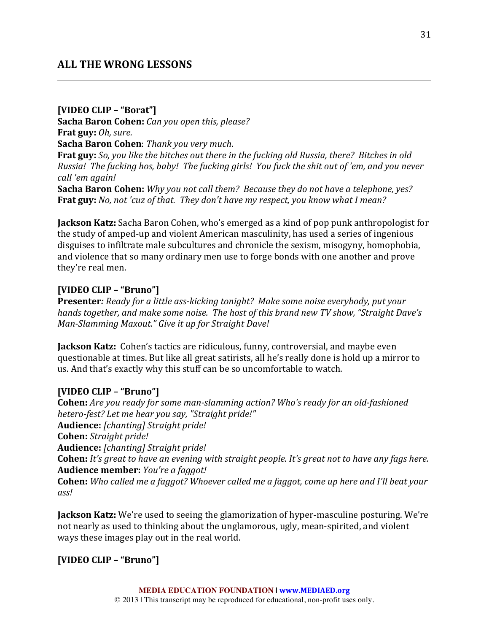# **ALL THE WRONG LESSONS**

### **[VIDEO CLIP – "Borat"]**

**Sacha Baron Cohen:** *Can you open this, please?* **Frat guy:** *Oh, sure.* **Sacha Baron Cohen**: Thank you very much.

**Frat guy:** So, you like the bitches out there in the fucking old Russia, there? Bitches in old *Russia! The fucking hos, baby! The fucking girls! You fuck the shit out of 'em, and you never call 'em again!*

**Sacha Baron Cohen:** *Why you not call them?* Because they do not have a telephone, yes? **Frat guy:** *No, not 'cuz of that. They don't have my respect, you know what I mean?* 

**Jackson Katz:** Sacha Baron Cohen, who's emerged as a kind of pop punk anthropologist for the study of amped-up and violent American masculinity, has used a series of ingenious disguises to infiltrate male subcultures and chronicle the sexism, misogyny, homophobia, and violence that so many ordinary men use to forge bonds with one another and prove they're real men.

### **[VIDEO CLIP – "Bruno"]**

**Presenter:** Ready for a little ass-kicking tonight? Make some noise everybody, put your *hands together, and make some noise. The host of this brand new TV show, "Straight Dave's Man-Slamming Maxout."* Give it up for Straight Dave!

**Jackson Katz:** Cohen's tactics are ridiculous, funny, controversial, and maybe even questionable at times. But like all great satirists, all he's really done is hold up a mirror to us. And that's exactly why this stuff can be so uncomfortable to watch.

### **[VIDEO CLIP – "Bruno"]**

**Cohen:** Are you ready for some man-slamming action? Who's ready for an old-fashioned hetero-fest? Let me hear you say, "Straight pride!" Audience: [chanting] Straight pride! **Cohen:** *Straight pride!* Audience: [chanting] Straight pride! **Cohen:** *It's* great to have an evening with straight people. It's great not to have any fags here. **Audience member:** *You're a faggot!* **Cohen:** *Who called me a faggot? Whoever called me a faggot, come up here and I'll beat your ass!*

**Jackson Katz:** We're used to seeing the glamorization of hyper-masculine posturing. We're not nearly as used to thinking about the unglamorous, ugly, mean-spirited, and violent ways these images play out in the real world.

# **[VIDEO CLIP – "Bruno"]**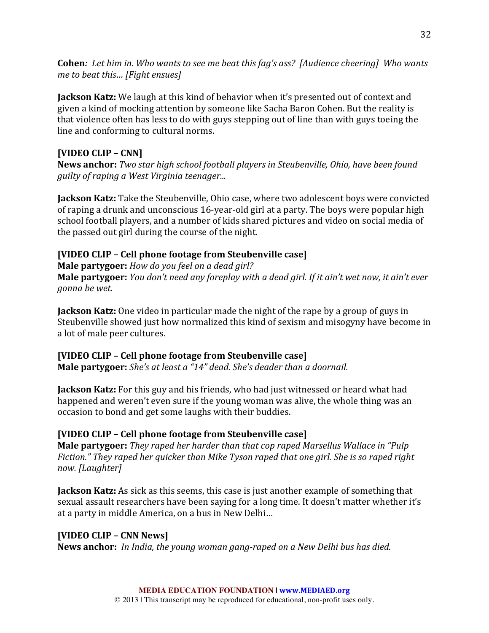**Cohen:** Let him in. Who wants to see me beat this fag's ass? [Audience cheering] Who wants *me to beat this...* [Fight ensues]

**Jackson Katz:** We laugh at this kind of behavior when it's presented out of context and given a kind of mocking attention by someone like Sacha Baron Cohen. But the reality is that violence often has less to do with guys stepping out of line than with guys toeing the line and conforming to cultural norms.

# **[VIDEO CLIP – CNN]**

**News anchor:** *Two star high school football players in Steubenville, Ohio, have been found guilty of raping a West Virginia teenager...* 

**Jackson Katz:** Take the Steubenville, Ohio case, where two adolescent boys were convicted of raping a drunk and unconscious 16-year-old girl at a party. The boys were popular high school football players, and a number of kids shared pictures and video on social media of the passed out girl during the course of the night.

# **[VIDEO CLIP – Cell phone footage from Steubenville case]**

**Male partygoer:** *How do you feel on a dead girl?* **Male partygoer:** *You don't need any foreplay with a dead girl. If it ain't wet now, it ain't ever gonna be wet.*

**Jackson Katz:** One video in particular made the night of the rape by a group of guys in Steubenville showed just how normalized this kind of sexism and misogyny have become in a lot of male peer cultures.

# **[VIDEO CLIP – Cell phone footage from Steubenville case]**

**Male partygoer:** *She's at least a "14" dead. She's deader than a doornail.* 

**Jackson Katz:** For this guy and his friends, who had just witnessed or heard what had happened and weren't even sure if the voung woman was alive, the whole thing was an occasion to bond and get some laughs with their buddies.

# **[VIDEO CLIP – Cell phone footage from Steubenville case]**

**Male partygoer:** *They raped her harder than that cop raped Marsellus Wallace in "Pulp Fiction."* They raped her quicker than Mike Tyson raped that one girl. She is so raped right *now. [Laughter]*

**Jackson Katz:** As sick as this seems, this case is just another example of something that sexual assault researchers have been saying for a long time. It doesn't matter whether it's at a party in middle America, on a bus in New Delhi...

# **[VIDEO CLIP – CNN News]**

**News anchor:** In India, the young woman gang-raped on a New Delhi bus has died.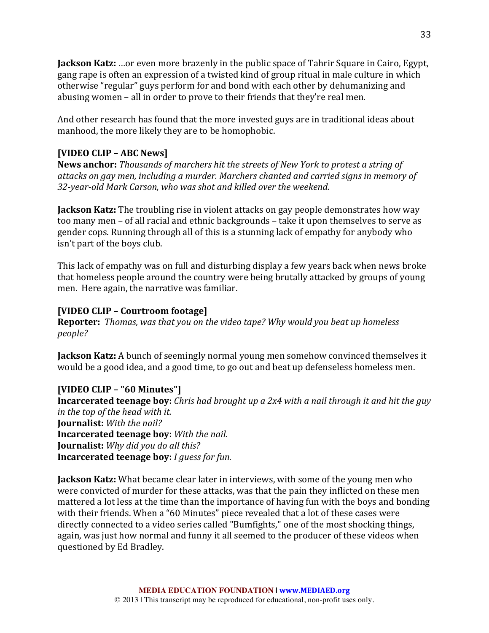**Jackson Katz:** ...or even more brazenly in the public space of Tahrir Square in Cairo, Egypt, gang rape is often an expression of a twisted kind of group ritual in male culture in which otherwise "regular" guys perform for and bond with each other by dehumanizing and abusing women – all in order to prove to their friends that they're real men.

And other research has found that the more invested guys are in traditional ideas about manhood, the more likely they are to be homophobic.

### **[VIDEO CLIP – ABC News]**

**News anchor:** *Thousands of marchers hit the streets of New York to protest a string of* attacks on gay men, including a murder. Marchers chanted and carried signs in memory of 32-year-old Mark Carson, who was shot and killed over the weekend.

**Jackson Katz:** The troubling rise in violent attacks on gay people demonstrates how way too many men – of all racial and ethnic backgrounds – take it upon themselves to serve as gender cops. Running through all of this is a stunning lack of empathy for anybody who isn't part of the boys club.

This lack of empathy was on full and disturbing display a few years back when news broke that homeless people around the country were being brutally attacked by groups of young men. Here again, the narrative was familiar.

### **[VIDEO CLIP – Courtroom footage]**

**Reporter:** Thomas, was that you on the video tape? Why would you beat up homeless *people?*

**Jackson Katz:** A bunch of seemingly normal young men somehow convinced themselves it would be a good idea, and a good time, to go out and beat up defenseless homeless men.

### **[VIDEO CLIP – "60 Minutes"]**

**Incarcerated teenage boy:** *Chris had brought up a 2x4 with a nail through it and hit the guy in the top of the head with it.* **Journalist:** With the nail? **Incarcerated teenage boy:** With the nail. **Journalist:** Why did you do all this? **Incarcerated teenage boy:** *I guess for fun.* 

**Jackson Katz:** What became clear later in interviews, with some of the young men who were convicted of murder for these attacks, was that the pain they inflicted on these men mattered a lot less at the time than the importance of having fun with the boys and bonding with their friends. When a "60 Minutes" piece revealed that a lot of these cases were directly connected to a video series called "Bumfights," one of the most shocking things, again, was just how normal and funny it all seemed to the producer of these videos when questioned by Ed Bradley.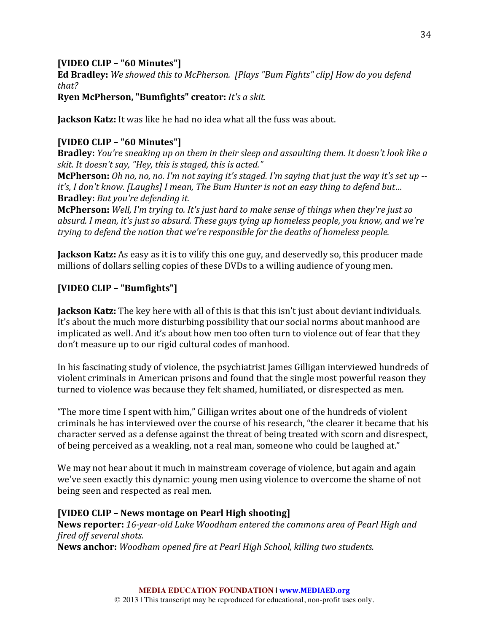### **[VIDEO CLIP – "60 Minutes"]**

**Ed Bradley:** We showed this to McPherson. [Plays "Bum Fights" clip] How do you defend *that?*

**Ryen McPherson, "Bumfights" creator:** *It's a skit.* 

**Jackson Katz:** It was like he had no idea what all the fuss was about.

# **[VIDEO CLIP – "60 Minutes"]**

**Bradley:** *You're sneaking up on them in their sleep and assaulting them. It doesn't look like a* skit. It doesn't say, "Hey, this is staged, this is acted."

**McPherson:** *Oh no, no, no. I'm not saying it's staged. I'm saying that just the way it's set up -it's, I don't know. [Laughs] I mean, The Bum Hunter is not an easy thing to defend but...* **Bradley:** *But you're defending it.* 

**McPherson:** Well, I'm trying to. It's just hard to make sense of things when they're just so absurd. *I* mean, it's just so absurd. These auvs tying up homeless people, you know, and we're *trying to defend the notion that we're responsible for the deaths of homeless people.* 

**Jackson Katz:** As easy as it is to vilify this one guy, and deservedly so, this producer made millions of dollars selling copies of these DVDs to a willing audience of young men.

# **[VIDEO CLIP – "Bumfights"]**

**Jackson Katz:** The key here with all of this is that this isn't just about deviant individuals. It's about the much more disturbing possibility that our social norms about manhood are implicated as well. And it's about how men too often turn to violence out of fear that they don't measure up to our rigid cultural codes of manhood.

In his fascinating study of violence, the psychiatrist James Gilligan interviewed hundreds of violent criminals in American prisons and found that the single most powerful reason they turned to violence was because they felt shamed, humiliated, or disrespected as men.

"The more time I spent with  $\lim$ ," Gilligan writes about one of the hundreds of violent criminals he has interviewed over the course of his research, "the clearer it became that his character served as a defense against the threat of being treated with scorn and disrespect, of being perceived as a weakling, not a real man, someone who could be laughed at."

We may not hear about it much in mainstream coverage of violence, but again and again we've seen exactly this dynamic: young men using violence to overcome the shame of not being seen and respected as real men.

# **[VIDEO CLIP – News montage on Pearl High shooting]**

**News reporter:** 16-year-old Luke Woodham entered the commons area of Pearl High and *fired off several shots.* **News anchor:** *Woodham opened fire at Pearl High School, killing two students.*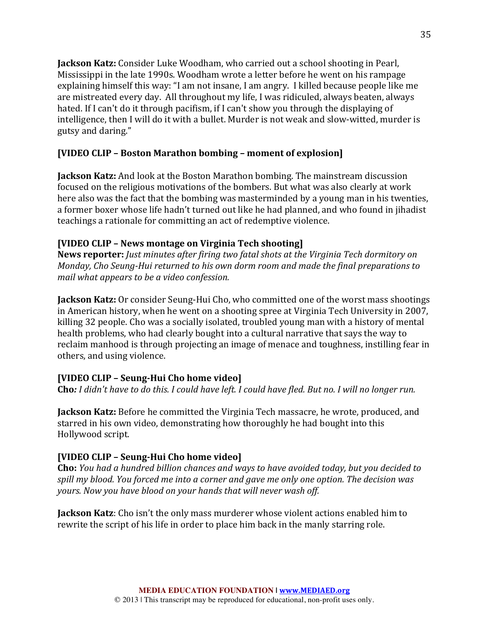**Jackson Katz:** Consider Luke Woodham, who carried out a school shooting in Pearl, Mississippi in the late 1990s. Woodham wrote a letter before he went on his rampage explaining himself this way: "I am not insane, I am angry. I killed because people like me are mistreated every day. All throughout my life, I was ridiculed, always beaten, always hated. If I can't do it through pacifism, if I can't show you through the displaying of intelligence, then I will do it with a bullet. Murder is not weak and slow-witted, murder is gutsy and daring."

### **[VIDEO CLIP – Boston Marathon bombing – moment of explosion]**

**Jackson Katz:** And look at the Boston Marathon bombing. The mainstream discussion focused on the religious motivations of the bombers. But what was also clearly at work here also was the fact that the bombing was masterminded by a young man in his twenties, a former boxer whose life hadn't turned out like he had planned, and who found in jihadist teachings a rationale for committing an act of redemptive violence.

### **[VIDEO CLIP – News montage on Virginia Tech shooting]**

**News reporter:** *Just minutes after firing two fatal shots at the Virginia Tech dormitory on Monday, Cho Seung-Hui returned to his own dorm room and made the final preparations to mail* what appears to be a video confession.

**Jackson Katz:** Or consider Seung-Hui Cho, who committed one of the worst mass shootings in American history, when he went on a shooting spree at Virginia Tech University in 2007, killing 32 people. Cho was a socially isolated, troubled young man with a history of mental health problems, who had clearly bought into a cultural narrative that says the way to reclaim manhood is through projecting an image of menace and toughness, instilling fear in others, and using violence.

# **[VIDEO CLIP – Seung-Hui Cho home video]**

**Cho**: *I* didn't have to do this. I could have left. I could have fled. But no. I will no longer run.

**Jackson Katz:** Before he committed the Virginia Tech massacre, he wrote, produced, and starred in his own video, demonstrating how thoroughly he had bought into this Hollywood script.

# **[VIDEO CLIP – Seung-Hui Cho home video]**

**Cho:** *You had a hundred billion chances and ways to have avoided today, but you decided to* spill my blood. You forced me into a corner and gave me only one option. The decision was *yours.* Now you have blood on your hands that will never wash off.

**Jackson Katz**: Cho isn't the only mass murderer whose violent actions enabled him to rewrite the script of his life in order to place him back in the manly starring role.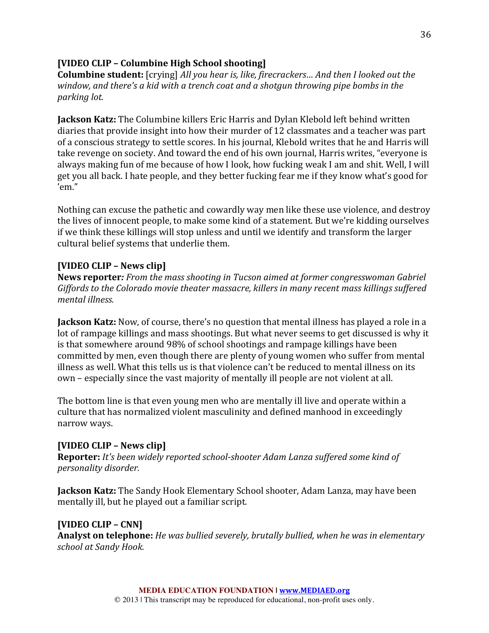### **[VIDEO CLIP – Columbine High School shooting]**

**Columbine student:** [crying] All you hear is, like, firecrackers... And then I looked out the *window, and there's a kid with a trench coat and a shotgun throwing pipe bombs in the parking lot.*

**Jackson Katz:** The Columbine killers Eric Harris and Dylan Klebold left behind written diaries that provide insight into how their murder of 12 classmates and a teacher was part of a conscious strategy to settle scores. In his journal, Klebold writes that he and Harris will take revenge on society. And toward the end of his own journal, Harris writes, "everyone is always making fun of me because of how I look, how fucking weak I am and shit. Well, I will get you all back. I hate people, and they better fucking fear me if they know what's good for 'em."

Nothing can excuse the pathetic and cowardly way men like these use violence, and destroy the lives of innocent people, to make some kind of a statement. But we're kidding ourselves if we think these killings will stop unless and until we identify and transform the larger cultural belief systems that underlie them.

### **[VIDEO CLIP – News clip]**

**News reporter:** From the mass shooting in Tucson aimed at former congresswoman Gabriel *Giffords* to the *Colorado movie theater massacre, killers in many recent mass killings suffered mental illness.*

**Jackson Katz:** Now, of course, there's no question that mental illness has played a role in a lot of rampage killings and mass shootings. But what never seems to get discussed is why it is that somewhere around 98% of school shootings and rampage killings have been committed by men, even though there are plenty of young women who suffer from mental illness as well. What this tells us is that violence can't be reduced to mental illness on its own - especially since the vast majority of mentally ill people are not violent at all.

The bottom line is that even young men who are mentally ill live and operate within a culture that has normalized violent masculinity and defined manhood in exceedingly narrow ways.

### **[VIDEO CLIP – News clip]**

**Reporter:** *It's been widely reported school-shooter Adam Lanza suffered some kind of personality disorder.* 

**Jackson Katz:** The Sandy Hook Elementary School shooter, Adam Lanza, may have been mentally ill, but he played out a familiar script.

### **[VIDEO CLIP – CNN]**

**Analyst on telephone:** *He was bullied severely, brutally bullied, when he was in elementary school at Sandy Hook.*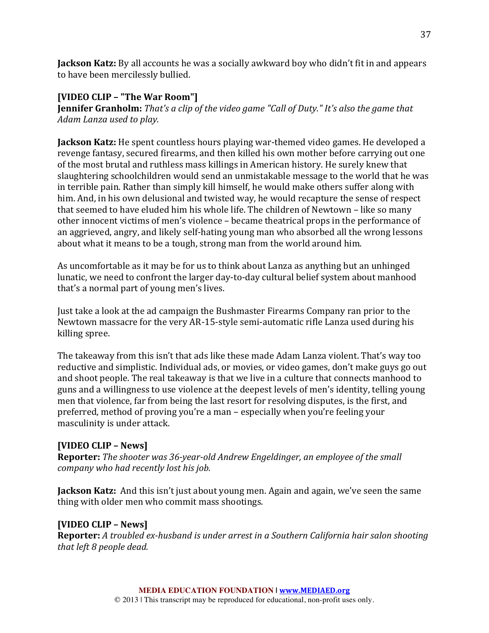**Jackson Katz:** By all accounts he was a socially awkward boy who didn't fit in and appears to have been mercilessly bullied.

### **[VIDEO CLIP – "The War Room"]**

**Jennifer Granholm:** *That's a clip of the video game "Call of Duty." It's also the game that Adam Lanza used to play.*

**Jackson Katz:** He spent countless hours playing war-themed video games. He developed a revenge fantasy, secured firearms, and then killed his own mother before carrying out one of the most brutal and ruthless mass killings in American history. He surely knew that slaughtering schoolchildren would send an unmistakable message to the world that he was in terrible pain. Rather than simply kill himself, he would make others suffer along with him. And, in his own delusional and twisted way, he would recapture the sense of respect that seemed to have eluded him his whole life. The children of Newtown – like so many other innocent victims of men's violence – became theatrical props in the performance of an aggrieved, angry, and likely self-hating young man who absorbed all the wrong lessons about what it means to be a tough, strong man from the world around him.

As uncomfortable as it may be for us to think about Lanza as anything but an unhinged lunatic, we need to confront the larger day-to-day cultural belief system about manhood that's a normal part of young men's lives.

Just take a look at the ad campaign the Bushmaster Firearms Company ran prior to the Newtown massacre for the very AR-15-style semi-automatic rifle Lanza used during his killing spree.

The takeaway from this isn't that ads like these made Adam Lanza violent. That's way too reductive and simplistic. Individual ads, or movies, or video games, don't make guys go out and shoot people. The real takeaway is that we live in a culture that connects manhood to guns and a willingness to use violence at the deepest levels of men's identity, telling young men that violence, far from being the last resort for resolving disputes, is the first, and preferred, method of proving you're a man – especially when you're feeling your masculinity is under attack.

### **[VIDEO CLIP – News]**

**Reporter:** *The shooter was 36-year-old Andrew Engeldinger, an employee of the small company* who had recently lost his job.

**Jackson Katz:** And this isn't just about young men. Again and again, we've seen the same thing with older men who commit mass shootings.

# **[VIDEO CLIP – News]**

**Reporter:** A troubled ex-husband is under arrest in a Southern California hair salon shooting *that left 8 people dead.*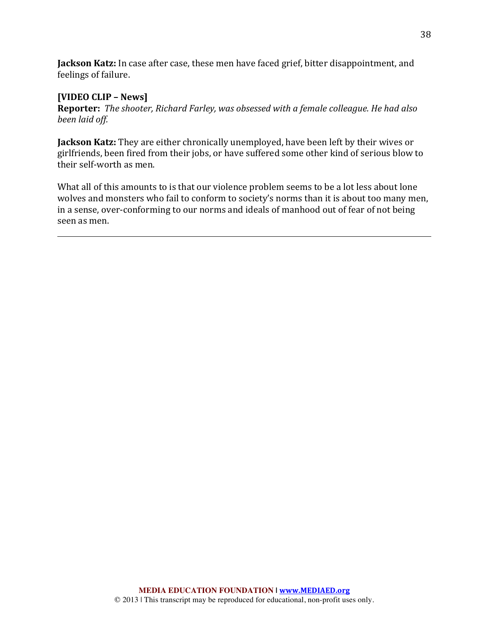**Jackson Katz:** In case after case, these men have faced grief, bitter disappointment, and feelings of failure.

### **[VIDEO CLIP – News]**

**Reporter:** The shooter, Richard Farley, was obsessed with a female colleague. He had also *been laid off.*

**Jackson Katz:** They are either chronically unemployed, have been left by their wives or girlfriends, been fired from their jobs, or have suffered some other kind of serious blow to their self-worth as men.

What all of this amounts to is that our violence problem seems to be a lot less about lone wolves and monsters who fail to conform to society's norms than it is about too many men, in a sense, over-conforming to our norms and ideals of manhood out of fear of not being seen as men.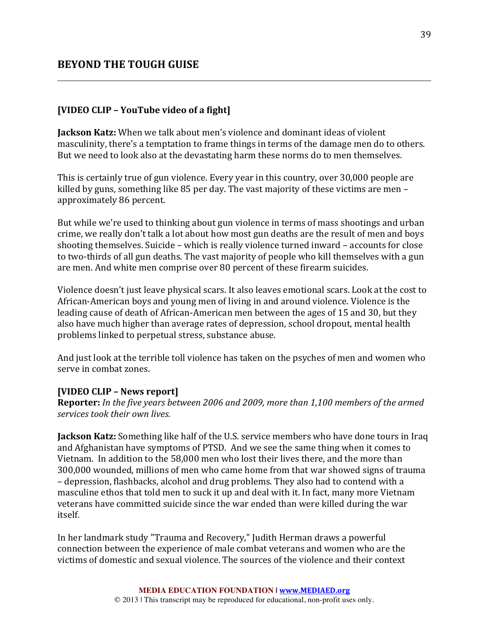### **[VIDEO CLIP - YouTube video of a fight]**

**Jackson Katz:** When we talk about men's violence and dominant ideas of violent masculinity, there's a temptation to frame things in terms of the damage men do to others. But we need to look also at the devastating harm these norms do to men themselves.

This is certainly true of gun violence. Every year in this country, over 30,000 people are killed by guns, something like  $85$  per day. The vast majority of these victims are men – approximately 86 percent.

But while we're used to thinking about gun violence in terms of mass shootings and urban crime, we really don't talk a lot about how most gun deaths are the result of men and boys shooting themselves. Suicide – which is really violence turned inward – accounts for close to two-thirds of all gun deaths. The vast majority of people who kill themselves with a gun are men. And white men comprise over 80 percent of these firearm suicides.

Violence doesn't just leave physical scars. It also leaves emotional scars. Look at the cost to African-American boys and young men of living in and around violence. Violence is the leading cause of death of African-American men between the ages of 15 and 30, but they also have much higher than average rates of depression, school dropout, mental health problems linked to perpetual stress, substance abuse.

And just look at the terrible toll violence has taken on the psyches of men and women who serve in combat zones.

#### **[VIDEO CLIP – News report]**

**Reporter:** In the five years between 2006 and 2009, more than 1,100 members of the armed *services took their own lives.*

**Jackson Katz:** Something like half of the U.S. service members who have done tours in Iraq and Afghanistan have symptoms of PTSD. And we see the same thing when it comes to Vietnam. In addition to the 58,000 men who lost their lives there, and the more than 300,000 wounded, millions of men who came home from that war showed signs of trauma – depression, flashbacks, alcohol and drug problems. They also had to contend with a masculine ethos that told men to suck it up and deal with it. In fact, many more Vietnam veterans have committed suicide since the war ended than were killed during the war itself.

In her landmark study "Trauma and Recovery," Judith Herman draws a powerful connection between the experience of male combat veterans and women who are the victims of domestic and sexual violence. The sources of the violence and their context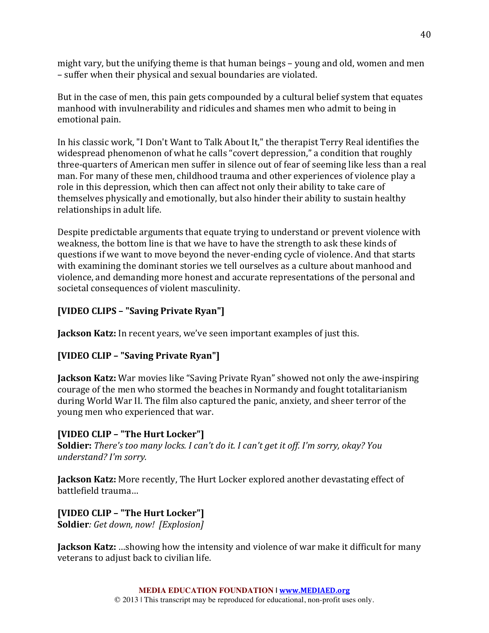might vary, but the unifying theme is that human beings  $-$  young and old, women and men – suffer when their physical and sexual boundaries are violated.

But in the case of men, this pain gets compounded by a cultural belief system that equates manhood with invulnerability and ridicules and shames men who admit to being in emotional pain.

In his classic work, "I Don't Want to Talk About It," the therapist Terry Real identifies the widespread phenomenon of what he calls "covert depression," a condition that roughly three-quarters of American men suffer in silence out of fear of seeming like less than a real man. For many of these men, childhood trauma and other experiences of violence play a role in this depression, which then can affect not only their ability to take care of themselves physically and emotionally, but also hinder their ability to sustain healthy relationships in adult life.

Despite predictable arguments that equate trying to understand or prevent violence with weakness, the bottom line is that we have to have the strength to ask these kinds of questions if we want to move beyond the never-ending cycle of violence. And that starts with examining the dominant stories we tell ourselves as a culture about manhood and violence, and demanding more honest and accurate representations of the personal and societal consequences of violent masculinity.

# **[VIDEO CLIPS – "Saving Private Ryan"]**

**Jackson Katz:** In recent years, we've seen important examples of just this.

# **[VIDEO CLIP – "Saving Private Ryan"]**

**Jackson Katz:** War movies like "Saving Private Ryan" showed not only the awe-inspiring courage of the men who stormed the beaches in Normandy and fought totalitarianism during World War II. The film also captured the panic, anxiety, and sheer terror of the young men who experienced that war.

# **[VIDEO CLIP – "The Hurt Locker"]**

**Soldier:** *There's too many locks. I can't do it. I can't get it off. I'm sorry, okay? You understand? I'm sorry.*

**Jackson Katz:** More recently, The Hurt Locker explored another devastating effect of battlefield trauma...

### **[VIDEO CLIP – "The Hurt Locker"] Soldier***:* Get down, now! [Explosion]

**Jackson Katz:** ...showing how the intensity and violence of war make it difficult for many veterans to adjust back to civilian life.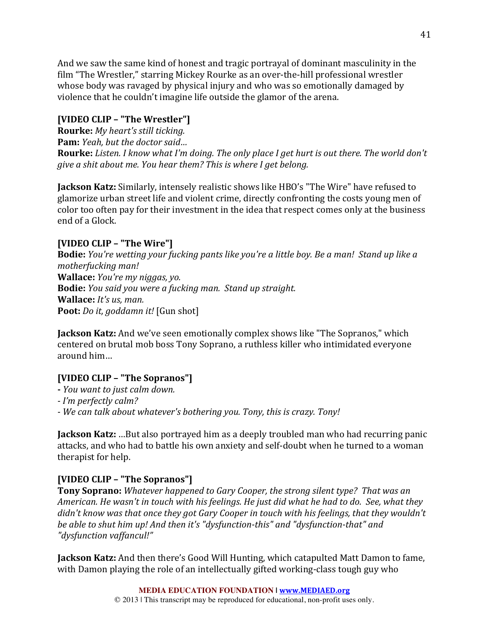And we saw the same kind of honest and tragic portrayal of dominant masculinity in the film "The Wrestler," starring Mickey Rourke as an over-the-hill professional wrestler whose body was ravaged by physical injury and who was so emotionally damaged by violence that he couldn't imagine life outside the glamor of the arena.

# **[VIDEO CLIP – "The Wrestler"]**

**Rourke:** *My heart's still ticking.* **Pam:** *Yeah, but the doctor said...* **Rourke:** Listen. I know what I'm doing. The only place I get hurt is out there. The world don't *give a shit about me. You hear them? This is where I get belong.* 

**Jackson Katz:** Similarly, intensely realistic shows like HBO's "The Wire" have refused to glamorize urban street life and violent crime, directly confronting the costs voung men of color too often pay for their investment in the idea that respect comes only at the business end of a Glock.

# **[VIDEO CLIP – "The Wire"]**

**Bodie:** *You're* wetting your fucking pants like you're a little boy. Be a man! Stand up like a *motherfucking man!* **Wallace:** *You're my niggas, yo.* **Bodie:** You said you were a fucking man. Stand up straight. **Wallace:** *It's us. man.* **Poot:** *Do it, goddamn it!* [Gun shot]

**Jackson Katz:** And we've seen emotionally complex shows like "The Sopranos," which centered on brutal mob boss Tony Soprano, a ruthless killer who intimidated everyone around him...

# **[VIDEO CLIP – "The Sopranos"]**

**-** *You want to just calm down.*

*- I'm perfectly calm?*

*- We can talk about whatever's bothering you. Tony, this is crazy. Tony!*

**Jackson Katz:** ...But also portrayed him as a deeply troubled man who had recurring panic attacks, and who had to battle his own anxiety and self-doubt when he turned to a woman therapist for help.

# **[VIDEO CLIP – "The Sopranos"]**

**Tony Soprano:** *Whatever happened to Gary Cooper, the strong silent type?* That was an *American.* He wasn't in touch with his feelings. He just did what he had to do. See, what they didn't know was that once they got Gary Cooper in touch with his feelings, that they wouldn't *be able to shut him up! And then it's "dysfunction-this" and "dysfunction-that" and "dysfunction vaffancul!"*

**Jackson Katz:** And then there's Good Will Hunting, which catapulted Matt Damon to fame, with Damon playing the role of an intellectually gifted working-class tough guy who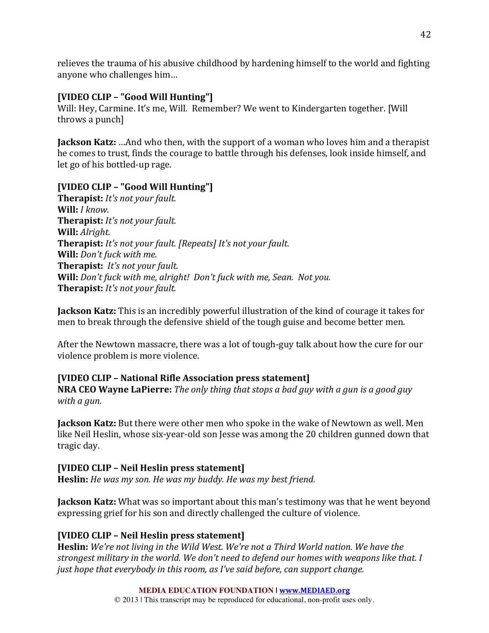relieves the trauma of his abusive childhood by hardening himself to the world and fighting anyone who challenges him...

# **[VIDEO CLIP – "Good Will Hunting"]**

Will: Hey, Carmine. It's me, Will. Remember? We went to Kindergarten together. [Will throws a punch]

**Jackson Katz:** ... And who then, with the support of a woman who loves him and a therapist he comes to trust, finds the courage to battle through his defenses, look inside himself, and let go of his bottled-up rage.

# **[VIDEO CLIP – "Good Will Hunting"]**

**Therapist:** *It's not your fault.* **Will:** *I know.* **Therapist:** *It's not your fault.* **Will:** Alright. **Therapist:** *It's not your fault.* [Repeats] *It's not your fault.* **Will:** Don't fuck with me. **Therapist:** *It's not your fault.* **Will:** Don't fuck with me, alright! Don't fuck with me, Sean. Not you. **Therapist:** *It's not your fault.* 

**Jackson Katz:** This is an incredibly powerful illustration of the kind of courage it takes for men to break through the defensive shield of the tough guise and become better men.

After the Newtown massacre, there was a lot of tough-guy talk about how the cure for our violence problem is more violence.

# **[VIDEO CLIP – National Rifle Association press statement]**

**NRA CEO Wayne LaPierre:** *The only thing that stops a bad guy with a gun is a good guy with a gun.*

**Jackson Katz:** But there were other men who spoke in the wake of Newtown as well. Men like Neil Heslin, whose six-year-old son Jesse was among the 20 children gunned down that tragic day.

# **[VIDEO CLIP – Neil Heslin press statement]**

**Heslin:** *He* was my son. He was my buddy. He was my best friend.

**Jackson Katz:** What was so important about this man's testimony was that he went beyond expressing grief for his son and directly challenged the culture of violence.

### **[VIDEO CLIP – Neil Heslin press statement]**

**Heslin:** We're not living in the Wild West. We're not a Third World nation. We have the *strongest military in the world. We don't need to defend our homes with weapons like that. I just hope that everybody in this room, as I've said before, can support change.*